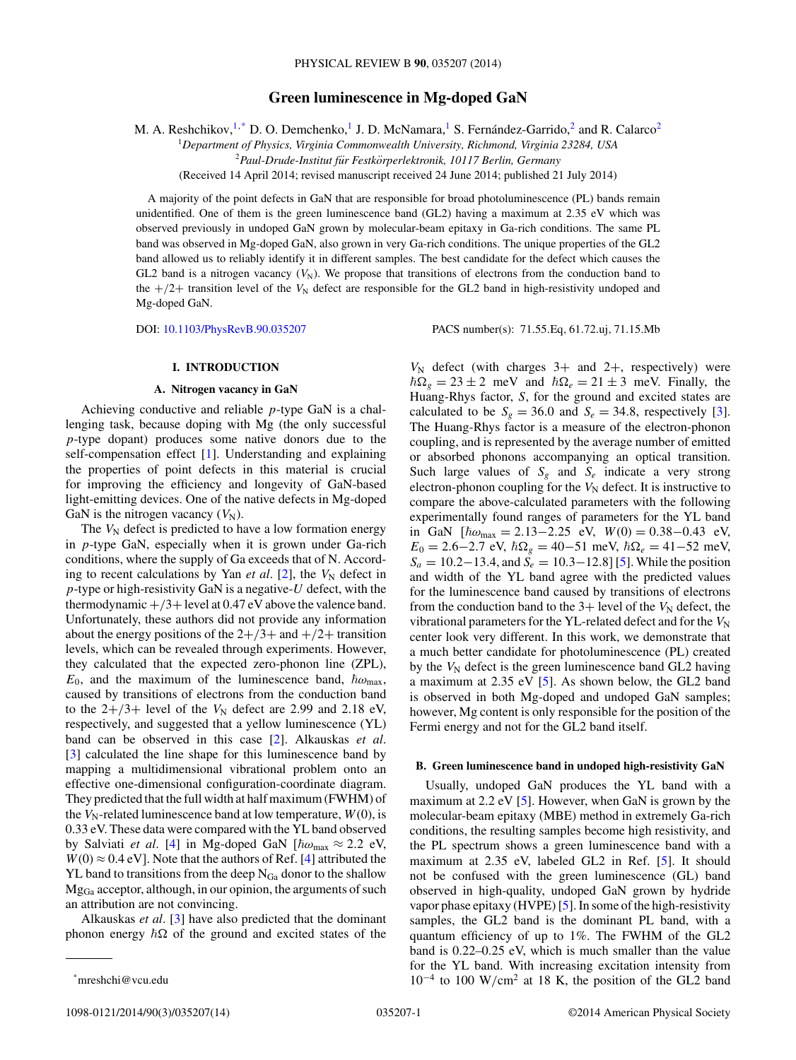# **Green luminescence in Mg-doped GaN**

M. A. Reshchikov,<sup>1,\*</sup> D. O. Demchenko,<sup>1</sup> J. D. McNamara,<sup>1</sup> S. Fernández-Garrido,<sup>2</sup> and R. Calarco<sup>2</sup>

<sup>1</sup>*Department of Physics, Virginia Commonwealth University, Richmond, Virginia 23284, USA*

<sup>2</sup>*Paul-Drude-Institut fur Festk ¨ orperlektronik, 10117 Berlin, Germany ¨*

(Received 14 April 2014; revised manuscript received 24 June 2014; published 21 July 2014)

A majority of the point defects in GaN that are responsible for broad photoluminescence (PL) bands remain unidentified. One of them is the green luminescence band (GL2) having a maximum at 2.35 eV which was observed previously in undoped GaN grown by molecular-beam epitaxy in Ga-rich conditions. The same PL band was observed in Mg-doped GaN, also grown in very Ga-rich conditions. The unique properties of the GL2 band allowed us to reliably identify it in different samples. The best candidate for the defect which causes the GL2 band is a nitrogen vacancy  $(V_N)$ . We propose that transitions of electrons from the conduction band to the  $+/2+$  transition level of the  $V_N$  defect are responsible for the GL2 band in high-resistivity undoped and Mg-doped GaN.

DOI: [10.1103/PhysRevB.90.035207](http://dx.doi.org/10.1103/PhysRevB.90.035207) PACS number(s): 71*.*55*.*Eq*,* 61*.*72*.*uj*,* 71*.*15*.*Mb

 $V_N$  defect (with charges  $3+$  and  $2+$ , respectively) were

### **I. INTRODUCTION**

### **A. Nitrogen vacancy in GaN**

Achieving conductive and reliable *p*-type GaN is a challenging task, because doping with Mg (the only successful *p*-type dopant) produces some native donors due to the self-compensation effect [\[1\]](#page-13-0). Understanding and explaining the properties of point defects in this material is crucial for improving the efficiency and longevity of GaN-based light-emitting devices. One of the native defects in Mg-doped GaN is the nitrogen vacancy  $(V_N)$ .

The  $V_N$  defect is predicted to have a low formation energy in *p*-type GaN, especially when it is grown under Ga-rich conditions, where the supply of Ga exceeds that of N. According to recent calculations by Yan  $et$  al. [\[2\]](#page-13-0), the  $V_N$  defect in *p*-type or high-resistivity GaN is a negative-*U* defect, with the thermodynamic  $+/3+$  level at 0.47 eV above the valence band. Unfortunately, these authors did not provide any information about the energy positions of the  $2+/3+$  and  $+/2+$  transition levels, which can be revealed through experiments. However, they calculated that the expected zero-phonon line (ZPL),  $E_0$ , and the maximum of the luminescence band,  $\hbar \omega_{\text{max}}$ , caused by transitions of electrons from the conduction band to the  $2+/3+$  level of the  $V_N$  defect are 2.99 and 2.18 eV, respectively, and suggested that a yellow luminescence (YL) band can be observed in this case [\[2\]](#page-13-0). Alkauskas *et al*. [\[3\]](#page-13-0) calculated the line shape for this luminescence band by mapping a multidimensional vibrational problem onto an effective one-dimensional configuration-coordinate diagram. They predicted that the full width at half maximum (FWHM) of the  $V_N$ -related luminescence band at low temperature,  $W(0)$ , is 0.33 eV. These data were compared with the YL band observed by Salviati *et al.* [\[4\]](#page-13-0) in Mg-doped GaN  $\left[\hbar\omega_{\text{max}} \approx 2.2 \text{ eV}\right]$  $W(0) \approx 0.4$  eV]. Note that the authors of Ref. [\[4\]](#page-13-0) attributed the YL band to transitions from the deep  $N_{Ga}$  donor to the shallow MgGa acceptor, although, in our opinion, the arguments of such an attribution are not convincing.

Alkauskas *et al*. [\[3\]](#page-13-0) have also predicted that the dominant phonon energy  $\hbar \Omega$  of the ground and excited states of the

 $\hbar\Omega_g = 23 \pm 2$  meV and  $\hbar\Omega_e = 21 \pm 3$  meV. Finally, the Huang-Rhys factor, *S*, for the ground and excited states are calculated to be  $S_g = 36.0$  and  $S_e = 34.8$ , respectively [\[3\]](#page-13-0). The Huang-Rhys factor is a measure of the electron-phonon coupling, and is represented by the average number of emitted or absorbed phonons accompanying an optical transition. Such large values of  $S_g$  and  $S_e$  indicate a very strong electron-phonon coupling for the  $V_N$  defect. It is instructive to compare the above-calculated parameters with the following experimentally found ranges of parameters for the YL band in GaN  $[\hbar \omega_{\text{max}} = 2.13 - 2.25 \text{ eV}, W(0) = 0.38 - 0.43 \text{ eV},$  $E_0 = 2.6 - 2.7$  eV,  $\hbar \Omega_g = 40 - 51$  meV,  $\hbar \Omega_e = 41 - 52$  meV, *Sa* = 10*.*2−13*.*4, and *Se* = 10*.*3−12*.*8] [\[5\]](#page-13-0). While the position and width of the YL band agree with the predicted values for the luminescence band caused by transitions of electrons from the conduction band to the  $3+$  level of the  $V_N$  defect, the vibrational parameters for the YL-related defect and for the  $V<sub>N</sub>$ center look very different. In this work, we demonstrate that a much better candidate for photoluminescence (PL) created by the  $V_N$  defect is the green luminescence band GL2 having a maximum at 2.35 eV [\[5\]](#page-13-0). As shown below, the GL2 band is observed in both Mg-doped and undoped GaN samples; however, Mg content is only responsible for the position of the Fermi energy and not for the GL2 band itself.

### **B. Green luminescence band in undoped high-resistivity GaN**

Usually, undoped GaN produces the YL band with a maximum at 2.2 eV [\[5\]](#page-13-0). However, when GaN is grown by the molecular-beam epitaxy (MBE) method in extremely Ga-rich conditions, the resulting samples become high resistivity, and the PL spectrum shows a green luminescence band with a maximum at 2.35 eV, labeled GL2 in Ref. [\[5\]](#page-13-0). It should not be confused with the green luminescence (GL) band observed in high-quality, undoped GaN grown by hydride vapor phase epitaxy (HVPE) [\[5\]](#page-13-0). In some of the high-resistivity samples, the GL2 band is the dominant PL band, with a quantum efficiency of up to 1%. The FWHM of the GL2 band is 0.22–0.25 eV, which is much smaller than the value for the YL band. With increasing excitation intensity from 10−<sup>4</sup> to 100 W*/*cm2 at 18 K, the position of the GL2 band

<sup>\*</sup>mreshchi@vcu.edu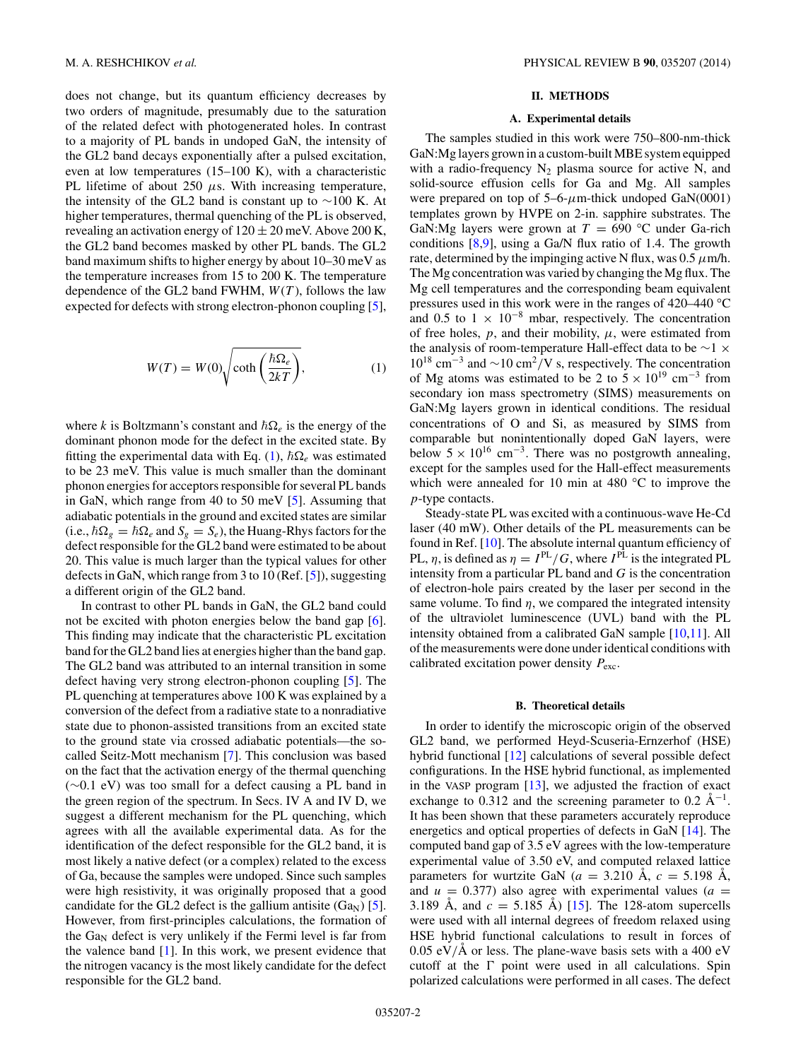<span id="page-1-0"></span>does not change, but its quantum efficiency decreases by two orders of magnitude, presumably due to the saturation of the related defect with photogenerated holes. In contrast to a majority of PL bands in undoped GaN, the intensity of the GL2 band decays exponentially after a pulsed excitation, even at low temperatures (15–100 K), with a characteristic PL lifetime of about  $250 \mu s$ . With increasing temperature, the intensity of the GL2 band is constant up to ∼100 K. At higher temperatures, thermal quenching of the PL is observed, revealing an activation energy of  $120 \pm 20$  meV. Above 200 K, the GL2 band becomes masked by other PL bands. The GL2 band maximum shifts to higher energy by about 10–30 meV as the temperature increases from 15 to 200 K. The temperature dependence of the GL2 band FWHM, *W*(*T* ), follows the law expected for defects with strong electron-phonon coupling [\[5\]](#page-13-0),

$$
W(T) = W(0)\sqrt{\coth\left(\frac{\hbar\Omega_e}{2kT}\right)},\tag{1}
$$

where *k* is Boltzmann's constant and  $\hbar\Omega_e$  is the energy of the dominant phonon mode for the defect in the excited state. By fitting the experimental data with Eq. (1),  $\hbar\Omega_e$  was estimated to be 23 meV. This value is much smaller than the dominant phonon energies for acceptors responsible for several PL bands in GaN, which range from 40 to 50 meV [\[5\]](#page-13-0). Assuming that adiabatic potentials in the ground and excited states are similar  $(i.e., \hbar\Omega_g = \hbar\Omega_e$  and  $S_g = S_e$ ), the Huang-Rhys factors for the defect responsible for the GL2 band were estimated to be about 20. This value is much larger than the typical values for other defects in GaN, which range from 3 to 10 (Ref. [\[5\]](#page-13-0)), suggesting a different origin of the GL2 band.

In contrast to other PL bands in GaN, the GL2 band could not be excited with photon energies below the band gap [\[6\]](#page-13-0). This finding may indicate that the characteristic PL excitation band for the GL2 band lies at energies higher than the band gap. The GL2 band was attributed to an internal transition in some defect having very strong electron-phonon coupling [\[5\]](#page-13-0). The PL quenching at temperatures above 100 K was explained by a conversion of the defect from a radiative state to a nonradiative state due to phonon-assisted transitions from an excited state to the ground state via crossed adiabatic potentials—the socalled Seitz-Mott mechanism [\[7\]](#page-13-0). This conclusion was based on the fact that the activation energy of the thermal quenching (∼0.1 eV) was too small for a defect causing a PL band in the green region of the spectrum. In Secs. IV A and IV D, we suggest a different mechanism for the PL quenching, which agrees with all the available experimental data. As for the identification of the defect responsible for the GL2 band, it is most likely a native defect (or a complex) related to the excess of Ga, because the samples were undoped. Since such samples were high resistivity, it was originally proposed that a good candidate for the GL2 defect is the gallium antisite  $(Ga_N)$  [\[5\]](#page-13-0). However, from first-principles calculations, the formation of the  $Ga<sub>N</sub>$  defect is very unlikely if the Fermi level is far from the valence band [\[1\]](#page-13-0). In this work, we present evidence that the nitrogen vacancy is the most likely candidate for the defect responsible for the GL2 band.

## **II. METHODS**

#### **A. Experimental details**

The samples studied in this work were 750–800-nm-thick GaN:Mg layers grown in a custom-built MBE system equipped with a radio-frequency  $N_2$  plasma source for active N, and solid-source effusion cells for Ga and Mg. All samples were prepared on top of  $5-6$ - $\mu$ m-thick undoped GaN(0001) templates grown by HVPE on 2-in. sapphire substrates. The GaN:Mg layers were grown at  $T = 690$  °C under Ga-rich conditions [\[8,9\]](#page-13-0), using a Ga/N flux ratio of 1.4. The growth rate, determined by the impinging active N flux, was 0.5 *μ*m/h. The Mg concentration was varied by changing the Mg flux. The Mg cell temperatures and the corresponding beam equivalent pressures used in this work were in the ranges of 420–440 °C and 0.5 to  $1 \times 10^{-8}$  mbar, respectively. The concentration of free holes,  $p$ , and their mobility,  $\mu$ , were estimated from the analysis of room-temperature Hall-effect data to be ∼1 × 1018 cm−<sup>3</sup> and <sup>∼</sup>10 cm2*/*V s, respectively. The concentration of Mg atoms was estimated to be 2 to  $5 \times 10^{19}$  cm<sup>-3</sup> from secondary ion mass spectrometry (SIMS) measurements on GaN:Mg layers grown in identical conditions. The residual concentrations of O and Si, as measured by SIMS from comparable but nonintentionally doped GaN layers, were below  $5 \times 10^{16}$  cm<sup>-3</sup>. There was no postgrowth annealing, except for the samples used for the Hall-effect measurements which were annealed for 10 min at 480 °C to improve the *p*-type contacts.

Steady-state PL was excited with a continuous-wave He-Cd laser (40 mW). Other details of the PL measurements can be found in Ref. [\[10\]](#page-13-0). The absolute internal quantum efficiency of PL,  $\eta$ , is defined as  $\eta = I^{\text{PL}}/G$ , where  $I^{\text{PL}}$  is the integrated PL intensity from a particular PL band and *G* is the concentration of electron-hole pairs created by the laser per second in the same volume. To find  $\eta$ , we compared the integrated intensity of the ultraviolet luminescence (UVL) band with the PL intensity obtained from a calibrated GaN sample [\[10,11\]](#page-13-0). All of the measurements were done under identical conditions with calibrated excitation power density *P*exc.

#### **B. Theoretical details**

In order to identify the microscopic origin of the observed GL2 band, we performed Heyd-Scuseria-Ernzerhof (HSE) hybrid functional [\[12\]](#page-13-0) calculations of several possible defect configurations. In the HSE hybrid functional, as implemented in the VASP program [\[13\]](#page-13-0), we adjusted the fraction of exact exchange to 0.312 and the screening parameter to 0.2  $\rm \AA^{-1}$ . It has been shown that these parameters accurately reproduce energetics and optical properties of defects in GaN [\[14\]](#page-13-0). The computed band gap of 3.5 eV agrees with the low-temperature experimental value of 3.50 eV, and computed relaxed lattice parameters for wurtzite GaN ( $a = 3.210$  Å,  $c = 5.198$  Å, and  $u = 0.377$ ) also agree with experimental values ( $a =$ 3.189 Å, and  $c = 5.185$  Å) [[15\]](#page-13-0). The 128-atom supercells were used with all internal degrees of freedom relaxed using HSE hybrid functional calculations to result in forces of  $0.05 \text{ eV/A}$  or less. The plane-wave basis sets with a 400 eV cutoff at the  $\Gamma$  point were used in all calculations. Spin polarized calculations were performed in all cases. The defect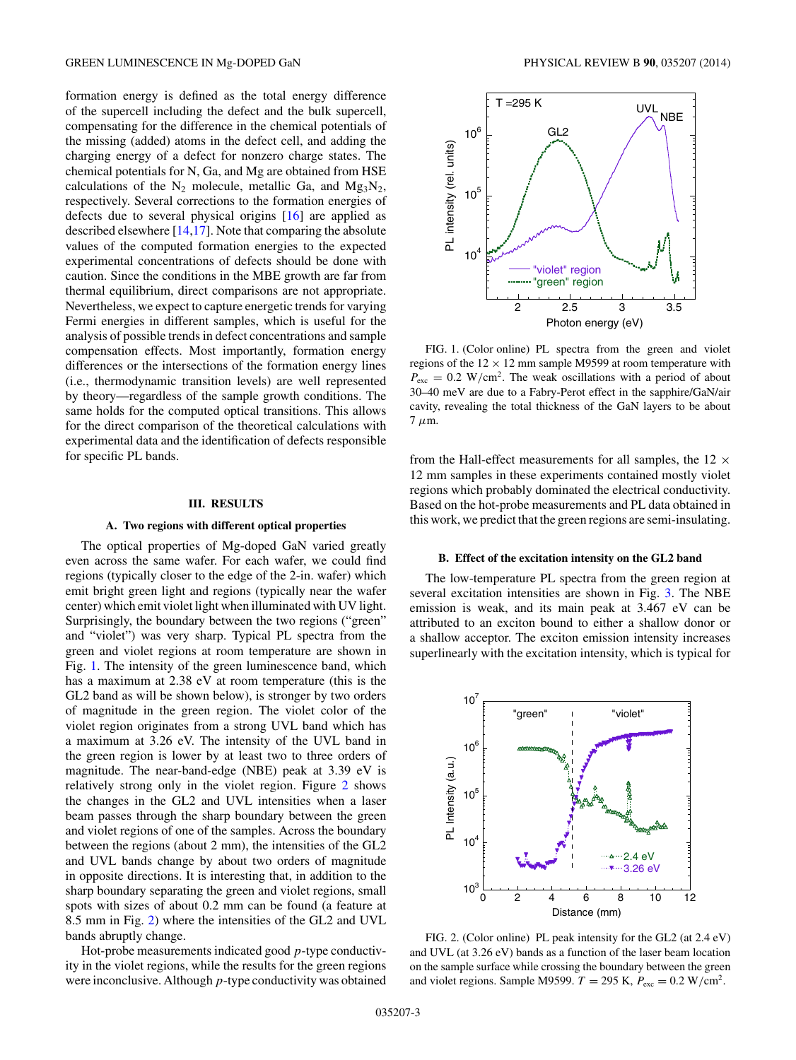<span id="page-2-0"></span>formation energy is defined as the total energy difference of the supercell including the defect and the bulk supercell, compensating for the difference in the chemical potentials of the missing (added) atoms in the defect cell, and adding the charging energy of a defect for nonzero charge states. The chemical potentials for N, Ga, and Mg are obtained from HSE calculations of the  $N_2$  molecule, metallic Ga, and  $Mg_3N_2$ , respectively. Several corrections to the formation energies of defects due to several physical origins [\[16\]](#page-13-0) are applied as described elsewhere [\[14,17\]](#page-13-0). Note that comparing the absolute values of the computed formation energies to the expected experimental concentrations of defects should be done with caution. Since the conditions in the MBE growth are far from thermal equilibrium, direct comparisons are not appropriate. Nevertheless, we expect to capture energetic trends for varying Fermi energies in different samples, which is useful for the analysis of possible trends in defect concentrations and sample compensation effects. Most importantly, formation energy differences or the intersections of the formation energy lines (i.e., thermodynamic transition levels) are well represented by theory—regardless of the sample growth conditions. The same holds for the computed optical transitions. This allows for the direct comparison of the theoretical calculations with experimental data and the identification of defects responsible for specific PL bands.

## **III. RESULTS**

#### **A. Two regions with different optical properties**

The optical properties of Mg-doped GaN varied greatly even across the same wafer. For each wafer, we could find regions (typically closer to the edge of the 2-in. wafer) which emit bright green light and regions (typically near the wafer center) which emit violet light when illuminated with UV light. Surprisingly, the boundary between the two regions ("green" and "violet") was very sharp. Typical PL spectra from the green and violet regions at room temperature are shown in Fig. 1. The intensity of the green luminescence band, which has a maximum at 2.38 eV at room temperature (this is the GL2 band as will be shown below), is stronger by two orders of magnitude in the green region. The violet color of the violet region originates from a strong UVL band which has a maximum at 3.26 eV. The intensity of the UVL band in the green region is lower by at least two to three orders of magnitude. The near-band-edge (NBE) peak at 3.39 eV is relatively strong only in the violet region. Figure 2 shows the changes in the GL2 and UVL intensities when a laser beam passes through the sharp boundary between the green and violet regions of one of the samples. Across the boundary between the regions (about 2 mm), the intensities of the GL2 and UVL bands change by about two orders of magnitude in opposite directions. It is interesting that, in addition to the sharp boundary separating the green and violet regions, small spots with sizes of about 0.2 mm can be found (a feature at 8.5 mm in Fig. 2) where the intensities of the GL2 and UVL bands abruptly change.

Hot-probe measurements indicated good *p*-type conductivity in the violet regions, while the results for the green regions were inconclusive. Although *p*-type conductivity was obtained



FIG. 1. (Color online) PL spectra from the green and violet regions of the  $12 \times 12$  mm sample M9599 at room temperature with  $P_{\rm exc} = 0.2 \text{ W/cm}^2$ . The weak oscillations with a period of about 30–40 meV are due to a Fabry-Perot effect in the sapphire/GaN/air cavity, revealing the total thickness of the GaN layers to be about 7 *μ*m.

from the Hall-effect measurements for all samples, the 12  $\times$ 12 mm samples in these experiments contained mostly violet regions which probably dominated the electrical conductivity. Based on the hot-probe measurements and PL data obtained in this work, we predict that the green regions are semi-insulating.

## **B. Effect of the excitation intensity on the GL2 band**

The low-temperature PL spectra from the green region at several excitation intensities are shown in Fig. [3.](#page-3-0) The NBE emission is weak, and its main peak at 3.467 eV can be attributed to an exciton bound to either a shallow donor or a shallow acceptor. The exciton emission intensity increases superlinearly with the excitation intensity, which is typical for



FIG. 2. (Color online) PL peak intensity for the GL2 (at 2.4 eV) and UVL (at 3.26 eV) bands as a function of the laser beam location on the sample surface while crossing the boundary between the green and violet regions. Sample M9599.  $T = 295$  K,  $P_{\text{exc}} = 0.2$  W/cm<sup>2</sup>.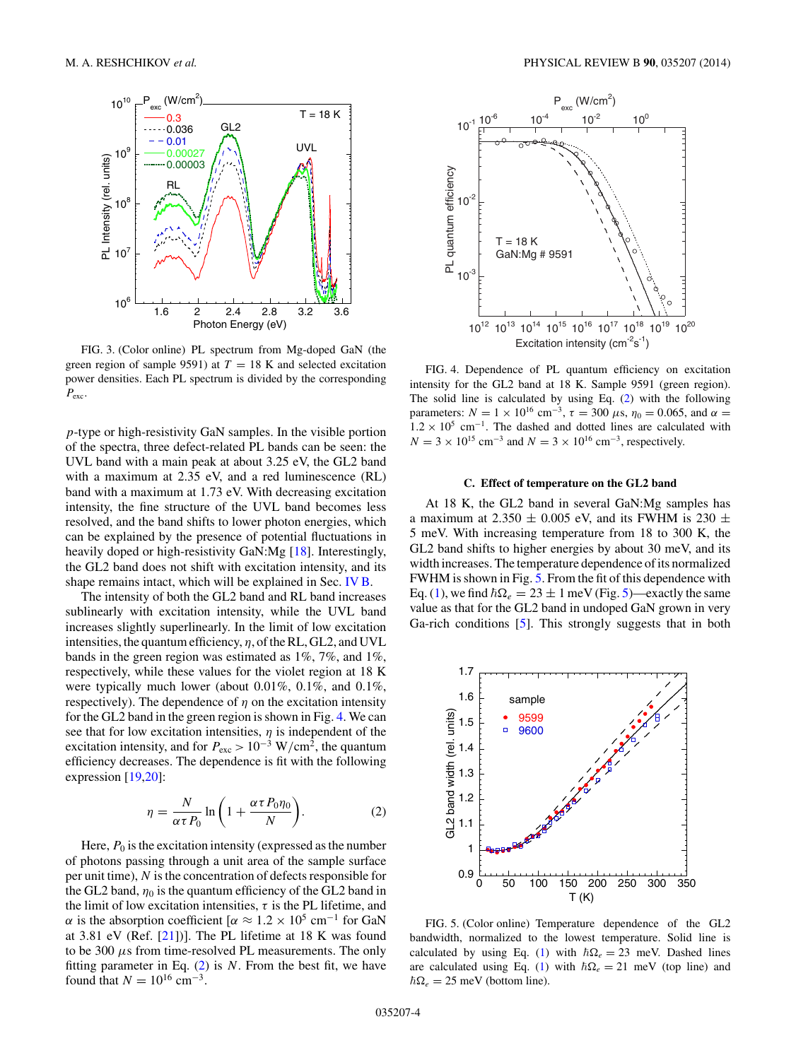<span id="page-3-0"></span>

FIG. 3. (Color online) PL spectrum from Mg-doped GaN (the green region of sample 9591) at  $T = 18$  K and selected excitation power densities. Each PL spectrum is divided by the corresponding  $P_{\text{exc}}$ .

*p*-type or high-resistivity GaN samples. In the visible portion of the spectra, three defect-related PL bands can be seen: the UVL band with a main peak at about 3.25 eV, the GL2 band with a maximum at 2.35 eV, and a red luminescence (RL) band with a maximum at 1.73 eV. With decreasing excitation intensity, the fine structure of the UVL band becomes less resolved, and the band shifts to lower photon energies, which can be explained by the presence of potential fluctuations in heavily doped or high-resistivity GaN:Mg [\[18\]](#page-13-0). Interestingly, the GL2 band does not shift with excitation intensity, and its shape remains intact, which will be explained in Sec. [IV B.](#page-7-0)

The intensity of both the GL2 band and RL band increases sublinearly with excitation intensity, while the UVL band increases slightly superlinearly. In the limit of low excitation intensities, the quantum efficiency, *η*, of the RL, GL2, and UVL bands in the green region was estimated as 1%, 7%, and 1%, respectively, while these values for the violet region at 18 K were typically much lower (about 0.01%, 0.1%, and 0.1%, respectively). The dependence of  $\eta$  on the excitation intensity for the GL2 band in the green region is shown in Fig. 4. We can see that for low excitation intensities, *η* is independent of the excitation intensity, and for *P*exc *>* 10−<sup>3</sup> W*/*cm2, the quantum efficiency decreases. The dependence is fit with the following expression [\[19,20\]](#page-13-0):

$$
\eta = \frac{N}{\alpha \tau P_0} \ln \left( 1 + \frac{\alpha \tau P_0 \eta_0}{N} \right).
$$
 (2)

Here,  $P_0$  is the excitation intensity (expressed as the number of photons passing through a unit area of the sample surface per unit time), *N* is the concentration of defects responsible for the GL2 band,  $\eta_0$  is the quantum efficiency of the GL2 band in the limit of low excitation intensities,  $\tau$  is the PL lifetime, and *α* is the absorption coefficient  $\alpha \approx 1.2 \times 10^5$  cm<sup>-1</sup> for GaN at 3.81 eV (Ref.  $[21]$ )]. The PL lifetime at 18 K was found to be 300 *μ*s from time-resolved PL measurements. The only fitting parameter in Eq. (2) is *N*. From the best fit, we have found that  $N = 10^{16}$  cm<sup>-3</sup>.



FIG. 4. Dependence of PL quantum efficiency on excitation intensity for the GL2 band at 18 K. Sample 9591 (green region). The solid line is calculated by using Eq. (2) with the following parameters:  $N = 1 \times 10^{16}$  cm<sup>-3</sup>,  $\tau = 300 \mu$ s,  $η_0 = 0.065$ , and  $α =$  $1.2 \times 10^5$  cm<sup>-1</sup>. The dashed and dotted lines are calculated with  $N = 3 \times 10^{15}$  cm<sup>-3</sup> and  $N = 3 \times 10^{16}$  cm<sup>-3</sup>, respectively.

# **C. Effect of temperature on the GL2 band**

At 18 K, the GL2 band in several GaN:Mg samples has a maximum at 2.350  $\pm$  0.005 eV, and its FWHM is 230  $\pm$ 5 meV. With increasing temperature from 18 to 300 K, the GL2 band shifts to higher energies by about 30 meV, and its width increases. The temperature dependence of its normalized FWHM is shown in Fig. 5. From the fit of this dependence with Eq. [\(1\)](#page-1-0), we find  $\hbar \Omega_e = 23 \pm 1$  meV (Fig. 5)—exactly the same value as that for the GL2 band in undoped GaN grown in very Ga-rich conditions [\[5\]](#page-13-0). This strongly suggests that in both



FIG. 5. (Color online) Temperature dependence of the GL2 bandwidth, normalized to the lowest temperature. Solid line is calculated by using Eq. [\(1\)](#page-1-0) with  $\hbar\Omega_e = 23$  meV. Dashed lines are calculated using Eq. [\(1\)](#page-1-0) with  $\hbar\Omega_e = 21$  meV (top line) and  $\hbar\Omega_e = 25$  meV (bottom line).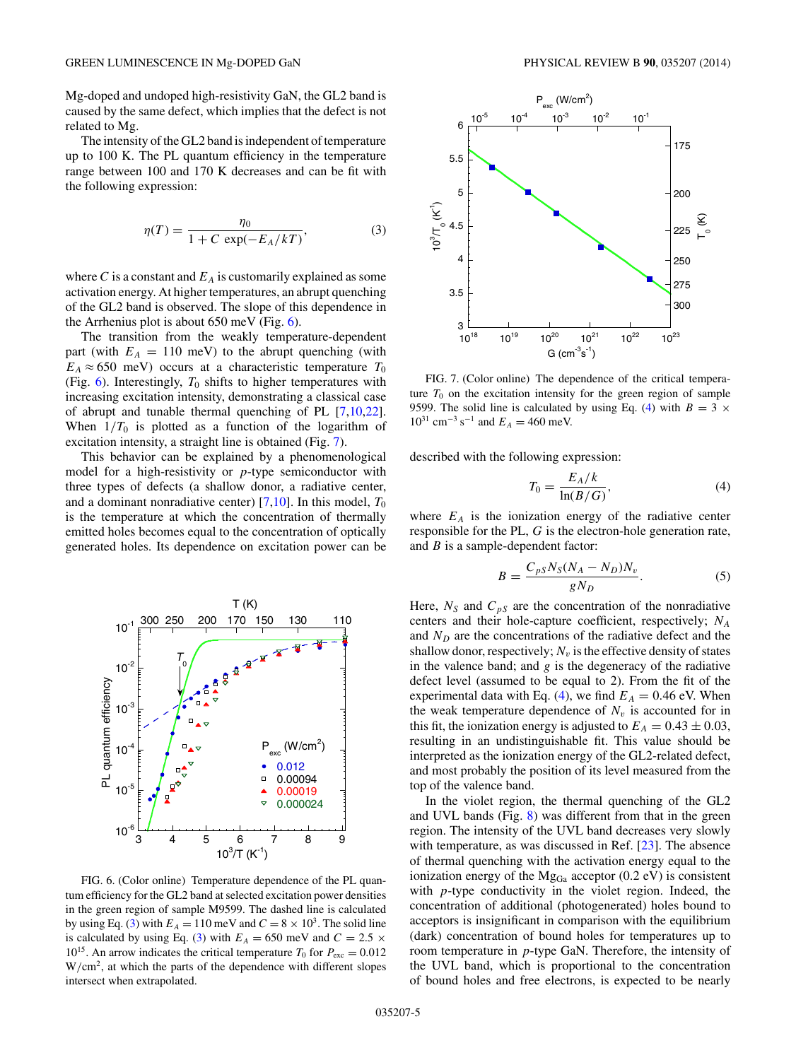<span id="page-4-0"></span>Mg-doped and undoped high-resistivity GaN, the GL2 band is caused by the same defect, which implies that the defect is not related to Mg.

The intensity of the GL2 band is independent of temperature up to 100 K. The PL quantum efficiency in the temperature range between 100 and 170 K decreases and can be fit with the following expression:

$$
\eta(T) = \frac{\eta_0}{1 + C \exp(-E_A/kT)},\tag{3}
$$

where *C* is a constant and  $E_A$  is customarily explained as some activation energy. At higher temperatures, an abrupt quenching of the GL2 band is observed. The slope of this dependence in the Arrhenius plot is about 650 meV (Fig.  $6$ ).

The transition from the weakly temperature-dependent part (with  $E_A = 110$  meV) to the abrupt quenching (with  $E_A \approx 650$  meV) occurs at a characteristic temperature  $T_0$ (Fig.  $6$ ). Interestingly,  $T_0$  shifts to higher temperatures with increasing excitation intensity, demonstrating a classical case of abrupt and tunable thermal quenching of PL  $[7,10,22]$ . When  $1/T_0$  is plotted as a function of the logarithm of excitation intensity, a straight line is obtained (Fig. 7).

This behavior can be explained by a phenomenological model for a high-resistivity or *p*-type semiconductor with three types of defects (a shallow donor, a radiative center, and a dominant nonradiative center)  $[7,10]$ . In this model,  $T_0$ is the temperature at which the concentration of thermally emitted holes becomes equal to the concentration of optically generated holes. Its dependence on excitation power can be



FIG. 6. (Color online) Temperature dependence of the PL quantum efficiency for the GL2 band at selected excitation power densities in the green region of sample M9599. The dashed line is calculated by using Eq. (3) with  $E_A = 110$  meV and  $C = 8 \times 10^3$ . The solid line is calculated by using Eq. (3) with  $E_A = 650$  meV and  $C = 2.5 \times$  $10^{15}$ . An arrow indicates the critical temperature  $T_0$  for  $P_{\text{exc}} = 0.012$ W/cm<sup>2</sup>, at which the parts of the dependence with different slopes intersect when extrapolated.



FIG. 7. (Color online) The dependence of the critical temperature  $T_0$  on the excitation intensity for the green region of sample 9599. The solid line is calculated by using Eq. (4) with  $B = 3 \times$  $10^{31}$  cm<sup>-3</sup> s<sup>-1</sup> and  $E_A = 460$  meV.

described with the following expression:

$$
T_0 = \frac{E_A/k}{\ln(B/G)},\tag{4}
$$

where  $E_A$  is the ionization energy of the radiative center responsible for the PL, *G* is the electron-hole generation rate, and *B* is a sample-dependent factor:

$$
B = \frac{C_{pS}N_S(N_A - N_D)N_v}{gN_D}.\tag{5}
$$

Here,  $N_S$  and  $C_{pS}$  are the concentration of the nonradiative centers and their hole-capture coefficient, respectively; *NA* and  $N_D$  are the concentrations of the radiative defect and the shallow donor, respectively;  $N_v$  is the effective density of states in the valence band; and *g* is the degeneracy of the radiative defect level (assumed to be equal to 2). From the fit of the experimental data with Eq. (4), we find  $E_A = 0.46$  eV. When the weak temperature dependence of  $N_v$  is accounted for in this fit, the ionization energy is adjusted to  $E_A = 0.43 \pm 0.03$ , resulting in an undistinguishable fit. This value should be interpreted as the ionization energy of the GL2-related defect, and most probably the position of its level measured from the top of the valence band.

In the violet region, the thermal quenching of the GL2 and UVL bands (Fig. [8\)](#page-5-0) was different from that in the green region. The intensity of the UVL band decreases very slowly with temperature, as was discussed in Ref. [\[23\]](#page-13-0). The absence of thermal quenching with the activation energy equal to the ionization energy of the  $Mg_{Ga}$  acceptor (0.2 eV) is consistent with *p*-type conductivity in the violet region. Indeed, the concentration of additional (photogenerated) holes bound to acceptors is insignificant in comparison with the equilibrium (dark) concentration of bound holes for temperatures up to room temperature in *p*-type GaN. Therefore, the intensity of the UVL band, which is proportional to the concentration of bound holes and free electrons, is expected to be nearly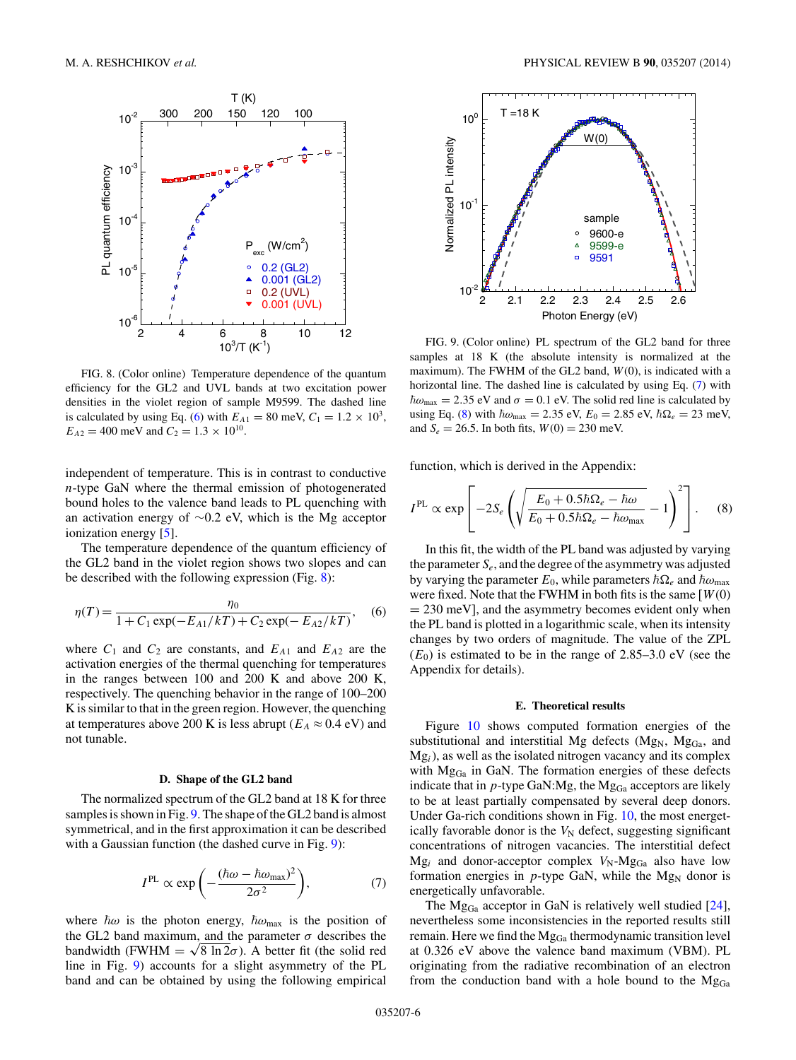<span id="page-5-0"></span>

FIG. 8. (Color online) Temperature dependence of the quantum efficiency for the GL2 and UVL bands at two excitation power densities in the violet region of sample M9599. The dashed line is calculated by using Eq. (6) with  $E_{A1} = 80$  meV,  $C_1 = 1.2 \times 10^3$ ,  $E_{A2} = 400$  meV and  $C_2 = 1.3 \times 10^{10}$ .

independent of temperature. This is in contrast to conductive *n*-type GaN where the thermal emission of photogenerated bound holes to the valence band leads to PL quenching with an activation energy of ∼0.2 eV, which is the Mg acceptor ionization energy [\[5\]](#page-13-0).

The temperature dependence of the quantum efficiency of the GL2 band in the violet region shows two slopes and can be described with the following expression (Fig. 8):

$$
\eta(T) = \frac{\eta_0}{1 + C_1 \exp(-E_{A1}/kT) + C_2 \exp(-E_{A2}/kT)},
$$
(6)

where  $C_1$  and  $C_2$  are constants, and  $E_{A1}$  and  $E_{A2}$  are the activation energies of the thermal quenching for temperatures in the ranges between 100 and 200 K and above 200 K, respectively. The quenching behavior in the range of 100–200 K is similar to that in the green region. However, the quenching at temperatures above 200 K is less abrupt ( $E_A \approx 0.4 \text{ eV}$ ) and not tunable.

#### **D. Shape of the GL2 band**

The normalized spectrum of the GL2 band at 18 K for three samples is shown in Fig. 9. The shape of the GL2 band is almost symmetrical, and in the first approximation it can be described with a Gaussian function (the dashed curve in Fig. 9):

$$
I^{\rm PL} \propto \exp\left(-\frac{(\hbar\omega - \hbar\omega_{\rm max})^2}{2\sigma^2}\right),\tag{7}
$$

where  $\hbar \omega$  is the photon energy,  $\hbar \omega_{\text{max}}$  is the position of the GL2 band maximum, and the parameter  $\sigma$  describes the bandwidth (FWHM =  $\sqrt{8} \ln 2\sigma$ ). A better fit (the solid red line in Fig. 9) accounts for a slight asymmetry of the PL band and can be obtained by using the following empirical



FIG. 9. (Color online) PL spectrum of the GL2 band for three samples at 18 K (the absolute intensity is normalized at the maximum). The FWHM of the GL2 band, *W*(0), is indicated with a horizontal line. The dashed line is calculated by using Eq. (7) with  $\hbar\omega_{\text{max}} = 2.35 \text{ eV}$  and  $\sigma = 0.1 \text{ eV}$ . The solid red line is calculated by using Eq. (8) with  $\hbar \omega_{\text{max}} = 2.35 \text{ eV}$ ,  $E_0 = 2.85 \text{ eV}$ ,  $\hbar \Omega_e = 23 \text{ meV}$ , and  $S_e = 26.5$ . In both fits,  $W(0) = 230$  meV.

function, which is derived in the Appendix:

$$
I^{\text{PL}} \propto \exp\left[-2S_e \left(\sqrt{\frac{E_0 + 0.5\hbar\Omega_e - \hbar\omega}{E_0 + 0.5\hbar\Omega_e - \hbar\omega_{\text{max}}}} - 1\right)^2\right].
$$
 (8)

In this fit, the width of the PL band was adjusted by varying the parameter *Se*, and the degree of the asymmetry was adjusted by varying the parameter  $E_0$ , while parameters  $\hbar\Omega_e$  and  $\hbar\omega_{\text{max}}$ were fixed. Note that the FWHM in both fits is the same [*W*(0)  $= 230$  meV], and the asymmetry becomes evident only when the PL band is plotted in a logarithmic scale, when its intensity changes by two orders of magnitude. The value of the ZPL  $(E_0)$  is estimated to be in the range of 2.85–3.0 eV (see the Appendix for details).

## **E. Theoretical results**

Figure [10](#page-6-0) shows computed formation energies of the substitutional and interstitial Mg defects  $(Mg_N, Mg_{Ga}, and$ Mg*i*), as well as the isolated nitrogen vacancy and its complex with  $Mg_{Ga}$  in GaN. The formation energies of these defects indicate that in  $p$ -type GaN:Mg, the Mg<sub>Ga</sub> acceptors are likely to be at least partially compensated by several deep donors. Under Ga-rich conditions shown in Fig. [10,](#page-6-0) the most energetically favorable donor is the  $V_N$  defect, suggesting significant concentrations of nitrogen vacancies. The interstitial defect  $Mg_i$  and donor-acceptor complex  $V_N-Mg_{Ga}$  also have low formation energies in  $p$ -type GaN, while the Mg<sub>N</sub> donor is energetically unfavorable.

The  $Mg_{Ga}$  acceptor in GaN is relatively well studied [\[24\]](#page-13-0), nevertheless some inconsistencies in the reported results still remain. Here we find the Mg<sub>Ga</sub> thermodynamic transition level at 0.326 eV above the valence band maximum (VBM). PL originating from the radiative recombination of an electron from the conduction band with a hole bound to the  $Mg_{Ga}$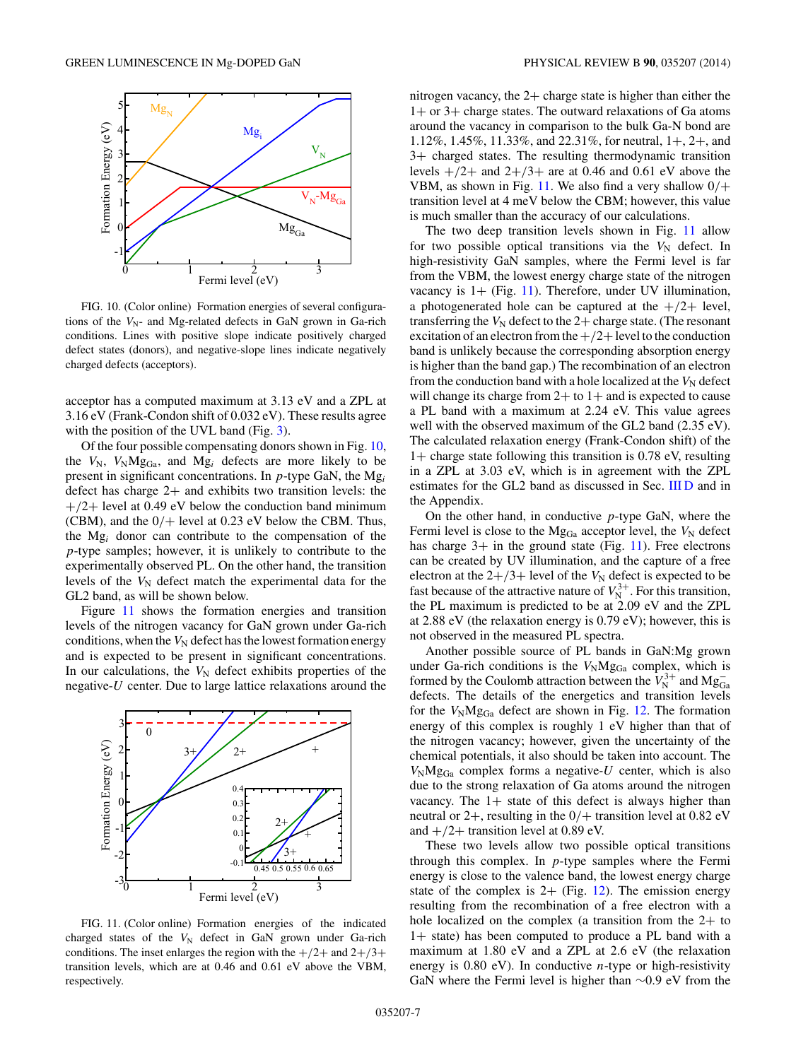<span id="page-6-0"></span>

FIG. 10. (Color online) Formation energies of several configurations of the  $V_N$ - and Mg-related defects in GaN grown in Ga-rich conditions. Lines with positive slope indicate positively charged defect states (donors), and negative-slope lines indicate negatively charged defects (acceptors).

acceptor has a computed maximum at 3.13 eV and a ZPL at 3.16 eV (Frank-Condon shift of 0.032 eV). These results agree with the position of the UVL band (Fig. [3\)](#page-3-0).

Of the four possible compensating donors shown in Fig. 10, the  $V_N$ ,  $V_N M g_{Ga}$ , and  $Mg_i$  defects are more likely to be present in significant concentrations. In *p*-type GaN, the Mg*<sup>i</sup>* defect has charge 2+ and exhibits two transition levels: the +*/*2+ level at 0.49 eV below the conduction band minimum (CBM), and the 0*/*+ level at 0.23 eV below the CBM. Thus, the Mg*<sup>i</sup>* donor can contribute to the compensation of the *p*-type samples; however, it is unlikely to contribute to the experimentally observed PL. On the other hand, the transition levels of the  $V_N$  defect match the experimental data for the GL2 band, as will be shown below.

Figure 11 shows the formation energies and transition levels of the nitrogen vacancy for GaN grown under Ga-rich conditions, when the  $V_N$  defect has the lowest formation energy and is expected to be present in significant concentrations. In our calculations, the  $V_N$  defect exhibits properties of the negative-*U* center. Due to large lattice relaxations around the



FIG. 11. (Color online) Formation energies of the indicated charged states of the  $V_N$  defect in GaN grown under Ga-rich conditions. The inset enlarges the region with the +*/*2+ and 2+*/*3+ transition levels, which are at 0.46 and 0.61 eV above the VBM, respectively.

nitrogen vacancy, the 2+ charge state is higher than either the 1+ or 3+ charge states. The outward relaxations of Ga atoms around the vacancy in comparison to the bulk Ga-N bond are 1.12%, 1.45%, 11.33%, and 22.31%, for neutral, 1+, 2+, and 3+ charged states. The resulting thermodynamic transition levels  $+/2+$  and  $2+/3+$  are at 0.46 and 0.61 eV above the VBM, as shown in Fig. 11. We also find a very shallow 0*/*+ transition level at 4 meV below the CBM; however, this value is much smaller than the accuracy of our calculations.

The two deep transition levels shown in Fig. 11 allow for two possible optical transitions via the  $V_N$  defect. In high-resistivity GaN samples, where the Fermi level is far from the VBM, the lowest energy charge state of the nitrogen vacancy is  $1+$  (Fig. 11). Therefore, under UV illumination, a photogenerated hole can be captured at the  $+/2+$  level, transferring the  $V_N$  defect to the  $2+$  charge state. (The resonant excitation of an electron from the  $+/2+$  level to the conduction band is unlikely because the corresponding absorption energy is higher than the band gap.) The recombination of an electron from the conduction band with a hole localized at the  $V<sub>N</sub>$  defect will change its charge from  $2+$  to  $1+$  and is expected to cause a PL band with a maximum at 2.24 eV. This value agrees well with the observed maximum of the GL2 band (2.35 eV). The calculated relaxation energy (Frank-Condon shift) of the 1+ charge state following this transition is 0.78 eV, resulting in a ZPL at 3.03 eV, which is in agreement with the ZPL estimates for the GL2 band as discussed in Sec. [III D](#page-5-0) and in the Appendix.

On the other hand, in conductive *p*-type GaN, where the Fermi level is close to the  $Mg_{Ga}$  acceptor level, the  $V_N$  defect has charge  $3+$  in the ground state (Fig. 11). Free electrons can be created by UV illumination, and the capture of a free electron at the  $2+/3+$  level of the  $V_N$  defect is expected to be fast because of the attractive nature of  $V_N^{3+}$ . For this transition, the PL maximum is predicted to be at 2.09 eV and the ZPL at 2.88 eV (the relaxation energy is 0.79 eV); however, this is not observed in the measured PL spectra.

Another possible source of PL bands in GaN:Mg grown under Ga-rich conditions is the  $V_N M g_{Ga}$  complex, which is formed by the Coulomb attraction between the  $\bar{V}_{N}^{3+}$  and  $Mg_{Ga}^{-}$ defects. The details of the energetics and transition levels for the  $V_N M g_{Ga}$  defect are shown in Fig. [12.](#page-7-0) The formation energy of this complex is roughly 1 eV higher than that of the nitrogen vacancy; however, given the uncertainty of the chemical potentials, it also should be taken into account. The  $V_N M g_{Ga}$  complex forms a negative- $U$  center, which is also due to the strong relaxation of Ga atoms around the nitrogen vacancy. The  $1+$  state of this defect is always higher than neutral or 2+, resulting in the 0*/*+ transition level at 0.82 eV and  $+/2+$  transition level at 0.89 eV.

These two levels allow two possible optical transitions through this complex. In *p*-type samples where the Fermi energy is close to the valence band, the lowest energy charge state of the complex is  $2+$  (Fig. [12\)](#page-7-0). The emission energy resulting from the recombination of a free electron with a hole localized on the complex (a transition from the 2+ to 1+ state) has been computed to produce a PL band with a maximum at 1.80 eV and a ZPL at 2.6 eV (the relaxation energy is 0.80 eV). In conductive *n*-type or high-resistivity GaN where the Fermi level is higher than ∼0.9 eV from the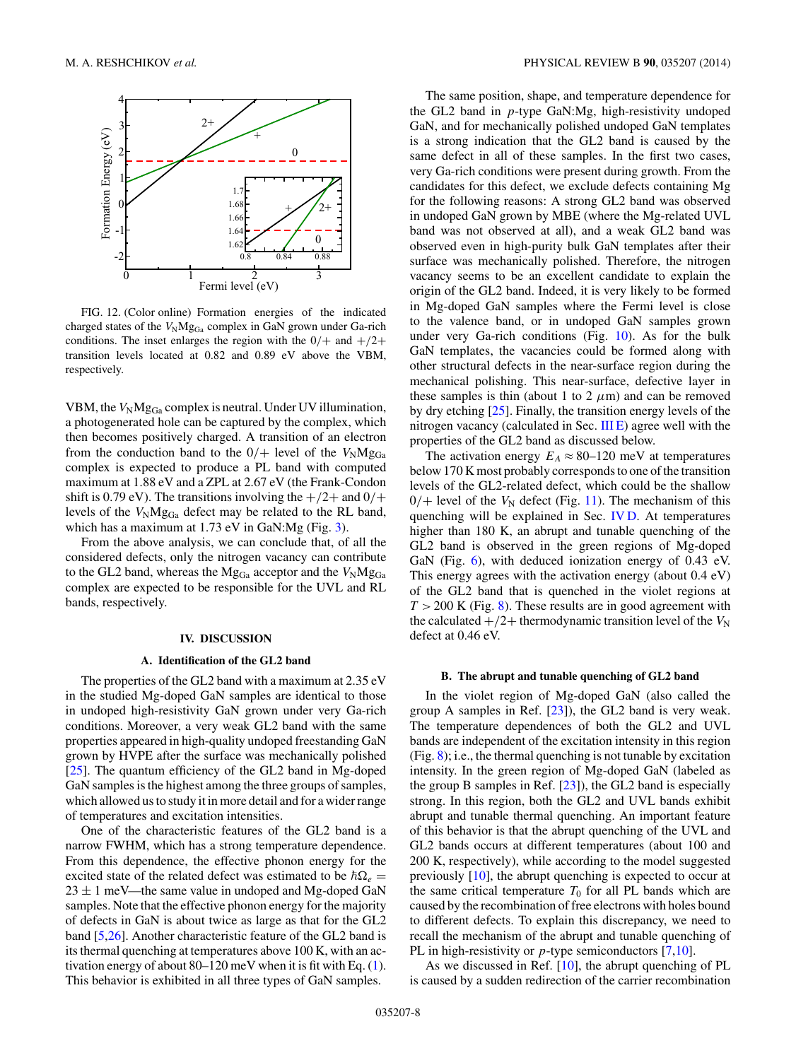<span id="page-7-0"></span>

FIG. 12. (Color online) Formation energies of the indicated charged states of the  $V<sub>N</sub>Mg<sub>Ga</sub>$  complex in GaN grown under Ga-rich conditions. The inset enlarges the region with the  $0/+$  and  $+/2+$ transition levels located at 0.82 and 0.89 eV above the VBM, respectively.

VBM, the  $V_NMg_{Ga}$  complex is neutral. Under UV illumination, a photogenerated hole can be captured by the complex, which then becomes positively charged. A transition of an electron from the conduction band to the  $0/+$  level of the  $V_NMg_{Ga}$ complex is expected to produce a PL band with computed maximum at 1.88 eV and a ZPL at 2.67 eV (the Frank-Condon shift is 0.79 eV). The transitions involving the  $+/2+$  and  $0/+$ levels of the  $V_N M g_{Ga}$  defect may be related to the RL band, which has a maximum at 1.73 eV in GaN:Mg (Fig. [3\)](#page-3-0).

From the above analysis, we can conclude that, of all the considered defects, only the nitrogen vacancy can contribute to the GL2 band, whereas the Mg<sub>Ga</sub> acceptor and the  $V<sub>N</sub>Mg<sub>Ga</sub>$ complex are expected to be responsible for the UVL and RL bands, respectively.

#### **IV. DISCUSSION**

# **A. Identification of the GL2 band**

The properties of the GL2 band with a maximum at 2.35 eV in the studied Mg-doped GaN samples are identical to those in undoped high-resistivity GaN grown under very Ga-rich conditions. Moreover, a very weak GL2 band with the same properties appeared in high-quality undoped freestanding GaN grown by HVPE after the surface was mechanically polished [\[25\]](#page-13-0). The quantum efficiency of the GL2 band in Mg-doped GaN samples is the highest among the three groups of samples, which allowed us to study it in more detail and for a wider range of temperatures and excitation intensities.

One of the characteristic features of the GL2 band is a narrow FWHM, which has a strong temperature dependence. From this dependence, the effective phonon energy for the excited state of the related defect was estimated to be  $\hbar\Omega_e$  =  $23 \pm 1$  meV—the same value in undoped and Mg-doped GaN samples. Note that the effective phonon energy for the majority of defects in GaN is about twice as large as that for the GL2 band [\[5,26\]](#page-13-0). Another characteristic feature of the GL2 band is its thermal quenching at temperatures above 100 K, with an activation energy of about 80–120 meV when it is fit with Eq. [\(1\)](#page-1-0). This behavior is exhibited in all three types of GaN samples.

The same position, shape, and temperature dependence for the GL2 band in *p*-type GaN:Mg, high-resistivity undoped GaN, and for mechanically polished undoped GaN templates is a strong indication that the GL2 band is caused by the same defect in all of these samples. In the first two cases, very Ga-rich conditions were present during growth. From the candidates for this defect, we exclude defects containing Mg for the following reasons: A strong GL2 band was observed in undoped GaN grown by MBE (where the Mg-related UVL band was not observed at all), and a weak GL2 band was observed even in high-purity bulk GaN templates after their surface was mechanically polished. Therefore, the nitrogen vacancy seems to be an excellent candidate to explain the origin of the GL2 band. Indeed, it is very likely to be formed in Mg-doped GaN samples where the Fermi level is close to the valence band, or in undoped GaN samples grown under very Ga-rich conditions (Fig. [10\)](#page-6-0). As for the bulk GaN templates, the vacancies could be formed along with other structural defects in the near-surface region during the mechanical polishing. This near-surface, defective layer in these samples is thin (about 1 to 2  $\mu$ m) and can be removed by dry etching [\[25\]](#page-13-0). Finally, the transition energy levels of the nitrogen vacancy (calculated in Sec.  $IIIE$ ) agree well with the properties of the GL2 band as discussed below.

The activation energy  $E_A \approx 80 - 120$  meV at temperatures below 170 K most probably corresponds to one of the transition levels of the GL2-related defect, which could be the shallow  $0/+$  level of the  $V_N$  defect (Fig. [11\)](#page-6-0). The mechanism of this quenching will be explained in Sec. [IV D.](#page-8-0) At temperatures higher than 180 K, an abrupt and tunable quenching of the GL2 band is observed in the green regions of Mg-doped GaN (Fig. [6\)](#page-4-0), with deduced ionization energy of 0.43 eV. This energy agrees with the activation energy (about 0.4 eV) of the GL2 band that is quenched in the violet regions at  $T > 200$  K (Fig. [8\)](#page-5-0). These results are in good agreement with the calculated  $+/2+$  thermodynamic transition level of the  $V_N$ defect at 0.46 eV.

### **B. The abrupt and tunable quenching of GL2 band**

In the violet region of Mg-doped GaN (also called the group A samples in Ref. [\[23\]](#page-13-0)), the GL2 band is very weak. The temperature dependences of both the GL2 and UVL bands are independent of the excitation intensity in this region (Fig. [8\)](#page-5-0); i.e., the thermal quenching is not tunable by excitation intensity. In the green region of Mg-doped GaN (labeled as the group B samples in Ref. [\[23\]](#page-13-0)), the GL2 band is especially strong. In this region, both the GL2 and UVL bands exhibit abrupt and tunable thermal quenching. An important feature of this behavior is that the abrupt quenching of the UVL and GL2 bands occurs at different temperatures (about 100 and 200 K, respectively), while according to the model suggested previously [\[10\]](#page-13-0), the abrupt quenching is expected to occur at the same critical temperature  $T_0$  for all PL bands which are caused by the recombination of free electrons with holes bound to different defects. To explain this discrepancy, we need to recall the mechanism of the abrupt and tunable quenching of PL in high-resistivity or *p*-type semiconductors [\[7,10\]](#page-13-0).

As we discussed in Ref. [\[10\]](#page-13-0), the abrupt quenching of PL is caused by a sudden redirection of the carrier recombination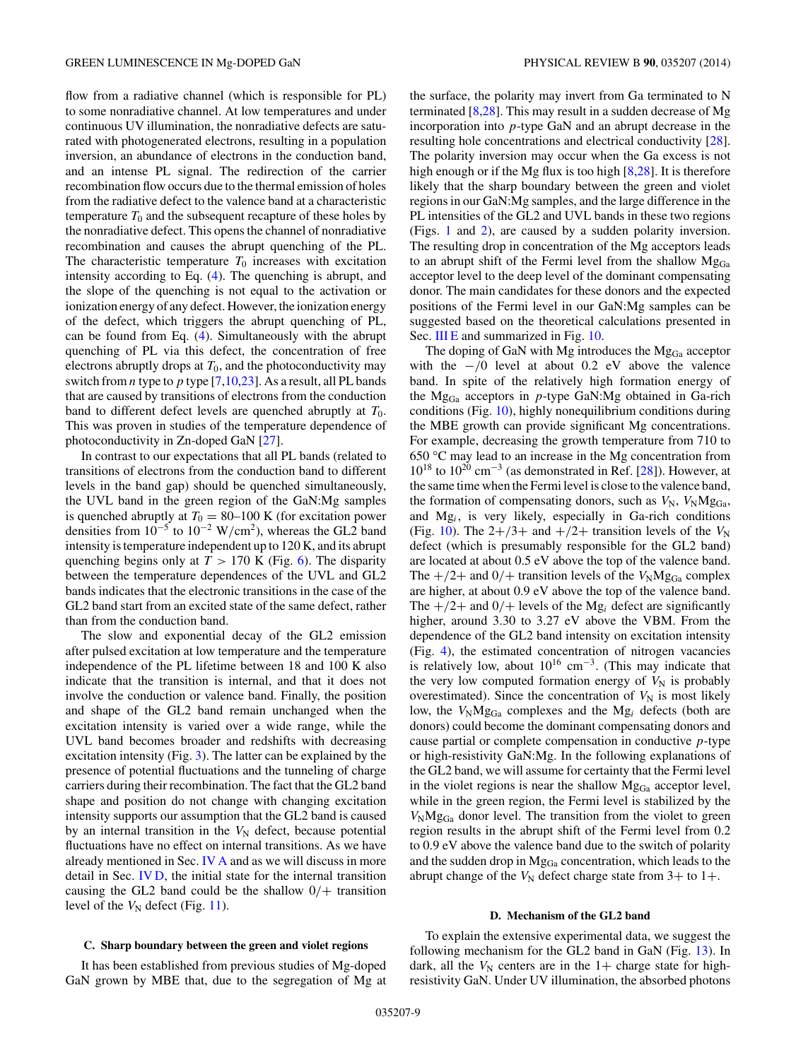<span id="page-8-0"></span>flow from a radiative channel (which is responsible for PL) to some nonradiative channel. At low temperatures and under continuous UV illumination, the nonradiative defects are saturated with photogenerated electrons, resulting in a population inversion, an abundance of electrons in the conduction band, and an intense PL signal. The redirection of the carrier recombination flow occurs due to the thermal emission of holes from the radiative defect to the valence band at a characteristic temperature  $T_0$  and the subsequent recapture of these holes by the nonradiative defect. This opens the channel of nonradiative recombination and causes the abrupt quenching of the PL. The characteristic temperature  $T_0$  increases with excitation intensity according to Eq. [\(4\)](#page-4-0). The quenching is abrupt, and the slope of the quenching is not equal to the activation or ionization energy of any defect. However, the ionization energy of the defect, which triggers the abrupt quenching of PL, can be found from Eq. [\(4\)](#page-4-0). Simultaneously with the abrupt quenching of PL via this defect, the concentration of free electrons abruptly drops at  $T_0$ , and the photoconductivity may switch from *n* type to *p* type [\[7,10,23\]](#page-13-0). As a result, all PL bands that are caused by transitions of electrons from the conduction band to different defect levels are quenched abruptly at  $T_0$ . This was proven in studies of the temperature dependence of photoconductivity in Zn-doped GaN [\[27\]](#page-13-0).

In contrast to our expectations that all PL bands (related to transitions of electrons from the conduction band to different levels in the band gap) should be quenched simultaneously, the UVL band in the green region of the GaN:Mg samples is quenched abruptly at  $T_0 = 80{\text -}100 \text{ K}$  (for excitation power densities from 10−<sup>5</sup> to 10−<sup>2</sup> W*/*cm2), whereas the GL2 band intensity is temperature independent up to 120 K, and its abrupt quenching begins only at  $T > 170$  K (Fig. [6\)](#page-4-0). The disparity between the temperature dependences of the UVL and GL2 bands indicates that the electronic transitions in the case of the GL2 band start from an excited state of the same defect, rather than from the conduction band.

The slow and exponential decay of the GL2 emission after pulsed excitation at low temperature and the temperature independence of the PL lifetime between 18 and 100 K also indicate that the transition is internal, and that it does not involve the conduction or valence band. Finally, the position and shape of the GL2 band remain unchanged when the excitation intensity is varied over a wide range, while the UVL band becomes broader and redshifts with decreasing excitation intensity (Fig. [3\)](#page-3-0). The latter can be explained by the presence of potential fluctuations and the tunneling of charge carriers during their recombination. The fact that the GL2 band shape and position do not change with changing excitation intensity supports our assumption that the GL2 band is caused by an internal transition in the  $V_N$  defect, because potential fluctuations have no effect on internal transitions. As we have already mentioned in Sec. [IV A](#page-7-0) and as we will discuss in more detail in Sec. IV D, the initial state for the internal transition causing the GL2 band could be the shallow 0*/*+ transition level of the  $V_N$  defect (Fig. [11\)](#page-6-0).

the surface, the polarity may invert from Ga terminated to N terminated  $[8,28]$ . This may result in a sudden decrease of Mg incorporation into *p*-type GaN and an abrupt decrease in the resulting hole concentrations and electrical conductivity [\[28\]](#page-13-0). The polarity inversion may occur when the Ga excess is not high enough or if the Mg flux is too high [\[8,28\]](#page-13-0). It is therefore likely that the sharp boundary between the green and violet regions in our GaN:Mg samples, and the large difference in the PL intensities of the GL2 and UVL bands in these two regions (Figs. [1](#page-2-0) and [2\)](#page-2-0), are caused by a sudden polarity inversion. The resulting drop in concentration of the Mg acceptors leads to an abrupt shift of the Fermi level from the shallow  $Mg_{Ga}$ acceptor level to the deep level of the dominant compensating donor. The main candidates for these donors and the expected positions of the Fermi level in our GaN:Mg samples can be suggested based on the theoretical calculations presented in Sec. [III E](#page-5-0) and summarized in Fig. [10.](#page-6-0)

The doping of GaN with Mg introduces the  $Mg_{Ga}$  acceptor with the −*/*0 level at about 0.2 eV above the valence band. In spite of the relatively high formation energy of the MgGa acceptors in *p*-type GaN:Mg obtained in Ga-rich conditions (Fig. [10\)](#page-6-0), highly nonequilibrium conditions during the MBE growth can provide significant Mg concentrations. For example, decreasing the growth temperature from 710 to 650 °C may lead to an increase in the Mg concentration from  $10^{18}$  to  $10^{20}$  cm<sup>-3</sup> (as demonstrated in Ref. [\[28\]](#page-13-0)). However, at the same time when the Fermi level is close to the valence band, the formation of compensating donors, such as  $V_N$ ,  $V_N M g_{Ga}$ , and Mg*i*, is very likely, especially in Ga-rich conditions (Fig. [10\)](#page-6-0). The  $2+/3+$  and  $+/2+$  transition levels of the  $V_N$ defect (which is presumably responsible for the GL2 band) are located at about 0.5 eV above the top of the valence band. The  $+/2+$  and  $0/+$  transition levels of the  $V_NMg_{Ga}$  complex are higher, at about 0.9 eV above the top of the valence band. The  $+/2+$  and  $0/+$  levels of the Mg<sub>i</sub> defect are significantly higher, around 3.30 to 3.27 eV above the VBM. From the dependence of the GL2 band intensity on excitation intensity (Fig. [4\)](#page-3-0), the estimated concentration of nitrogen vacancies is relatively low, about  $10^{16}$  cm<sup>-3</sup>. (This may indicate that the very low computed formation energy of  $V_N$  is probably overestimated). Since the concentration of  $V_N$  is most likely low, the  $V_N M g_{Ga}$  complexes and the Mg<sub>i</sub> defects (both are donors) could become the dominant compensating donors and cause partial or complete compensation in conductive *p*-type or high-resistivity GaN:Mg. In the following explanations of the GL2 band, we will assume for certainty that the Fermi level in the violet regions is near the shallow  $Mg_{Ga}$  acceptor level, while in the green region, the Fermi level is stabilized by the  $V_N$ Mg<sub>Ga</sub> donor level. The transition from the violet to green region results in the abrupt shift of the Fermi level from 0.2 to 0.9 eV above the valence band due to the switch of polarity and the sudden drop in  $Mg_{Ga}$  concentration, which leads to the abrupt change of the  $V_N$  defect charge state from  $3+$  to  $1+$ .

## **D. Mechanism of the GL2 band**

## **C. Sharp boundary between the green and violet regions**

It has been established from previous studies of Mg-doped GaN grown by MBE that, due to the segregation of Mg at

To explain the extensive experimental data, we suggest the following mechanism for the GL2 band in GaN (Fig. [13\)](#page-9-0). In dark, all the  $V_N$  centers are in the  $1+$  charge state for highresistivity GaN. Under UV illumination, the absorbed photons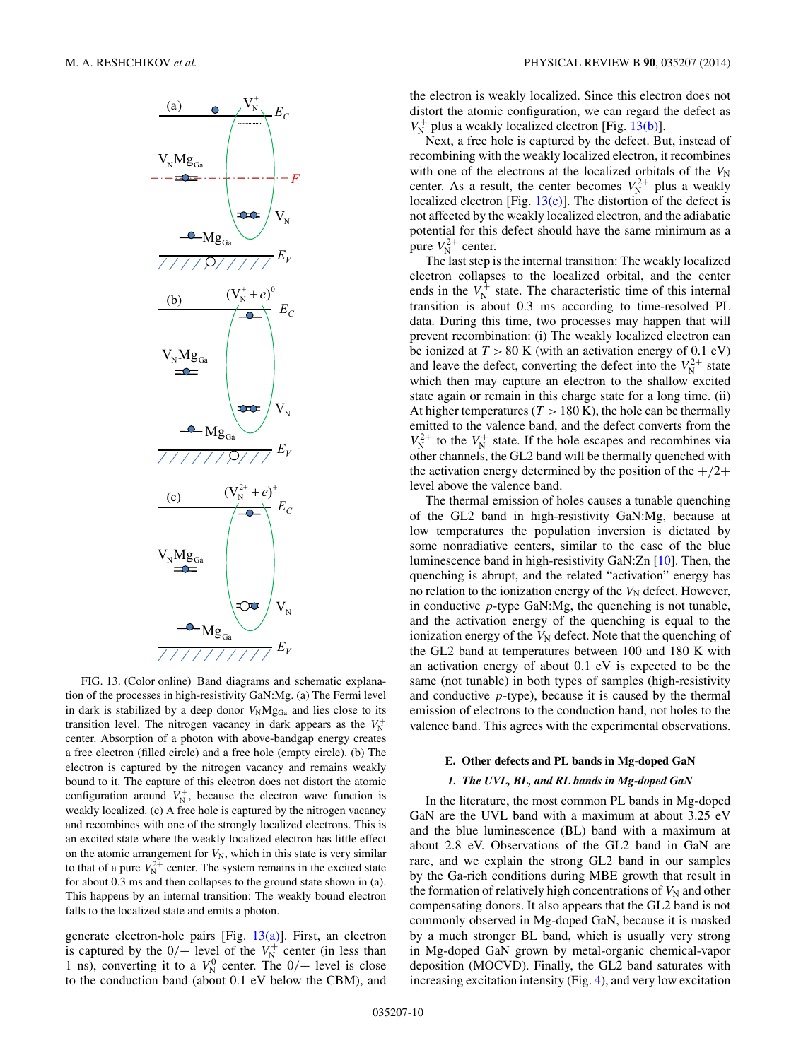<span id="page-9-0"></span>

FIG. 13. (Color online) Band diagrams and schematic explanation of the processes in high-resistivity GaN:Mg. (a) The Fermi level in dark is stabilized by a deep donor  $V_N M g_{Ga}$  and lies close to its transition level. The nitrogen vacancy in dark appears as the  $V_N^+$ center. Absorption of a photon with above-bandgap energy creates a free electron (filled circle) and a free hole (empty circle). (b) The electron is captured by the nitrogen vacancy and remains weakly bound to it. The capture of this electron does not distort the atomic configuration around  $V_N^+$ , because the electron wave function is weakly localized. (c) A free hole is captured by the nitrogen vacancy and recombines with one of the strongly localized electrons. This is an excited state where the weakly localized electron has little effect on the atomic arrangement for  $V_N$ , which in this state is very similar to that of a pure  $V_N^{2+}$  center. The system remains in the excited state for about 0.3 ms and then collapses to the ground state shown in (a). This happens by an internal transition: The weakly bound electron falls to the localized state and emits a photon.

generate electron-hole pairs [Fig.  $13(a)$ ]. First, an electron is captured by the  $0/$ + level of the  $V_N^+$  center (in less than 1 ns), converting it to a  $V_N^0$  center. The  $0/+$  level is close to the conduction band (about 0.1 eV below the CBM), and the electron is weakly localized. Since this electron does not distort the atomic configuration, we can regard the defect as  $V_N^+$  plus a weakly localized electron [Fig. 13(b)].

Next, a free hole is captured by the defect. But, instead of recombining with the weakly localized electron, it recombines with one of the electrons at the localized orbitals of the  $V_N$ center. As a result, the center becomes  $V_N^{2+}$  plus a weakly localized electron [Fig.  $13(c)$ ]. The distortion of the defect is not affected by the weakly localized electron, and the adiabatic potential for this defect should have the same minimum as a pure  $V_N^{2+}$  center.

The last step is the internal transition: The weakly localized electron collapses to the localized orbital, and the center ends in the  $V_N^+$  state. The characteristic time of this internal transition is about 0.3 ms according to time-resolved PL data. During this time, two processes may happen that will prevent recombination: (i) The weakly localized electron can be ionized at  $T > 80$  K (with an activation energy of 0.1 eV) and leave the defect, converting the defect into the  $V_N^{2+}$  state which then may capture an electron to the shallow excited state again or remain in this charge state for a long time. (ii) At higher temperatures ( $T > 180$  K), the hole can be thermally emitted to the valence band, and the defect converts from the  $V_N^{2+}$  to the  $V_N^+$  state. If the hole escapes and recombines via other channels, the GL2 band will be thermally quenched with the activation energy determined by the position of the  $+/2+$ level above the valence band.

The thermal emission of holes causes a tunable quenching of the GL2 band in high-resistivity GaN:Mg, because at low temperatures the population inversion is dictated by some nonradiative centers, similar to the case of the blue luminescence band in high-resistivity GaN:Zn [\[10\]](#page-13-0). Then, the quenching is abrupt, and the related "activation" energy has no relation to the ionization energy of the  $V_N$  defect. However, in conductive *p*-type GaN:Mg, the quenching is not tunable, and the activation energy of the quenching is equal to the ionization energy of the  $V_N$  defect. Note that the quenching of the GL2 band at temperatures between 100 and 180 K with an activation energy of about 0.1 eV is expected to be the same (not tunable) in both types of samples (high-resistivity and conductive *p*-type), because it is caused by the thermal emission of electrons to the conduction band, not holes to the valence band. This agrees with the experimental observations.

#### **E. Other defects and PL bands in Mg-doped GaN**

### *1. The UVL, BL, and RL bands in Mg-doped GaN*

In the literature, the most common PL bands in Mg-doped GaN are the UVL band with a maximum at about 3.25 eV and the blue luminescence (BL) band with a maximum at about 2.8 eV. Observations of the GL2 band in GaN are rare, and we explain the strong GL2 band in our samples by the Ga-rich conditions during MBE growth that result in the formation of relatively high concentrations of  $V_N$  and other compensating donors. It also appears that the GL2 band is not commonly observed in Mg-doped GaN, because it is masked by a much stronger BL band, which is usually very strong in Mg-doped GaN grown by metal-organic chemical-vapor deposition (MOCVD). Finally, the GL2 band saturates with increasing excitation intensity (Fig. [4\)](#page-3-0), and very low excitation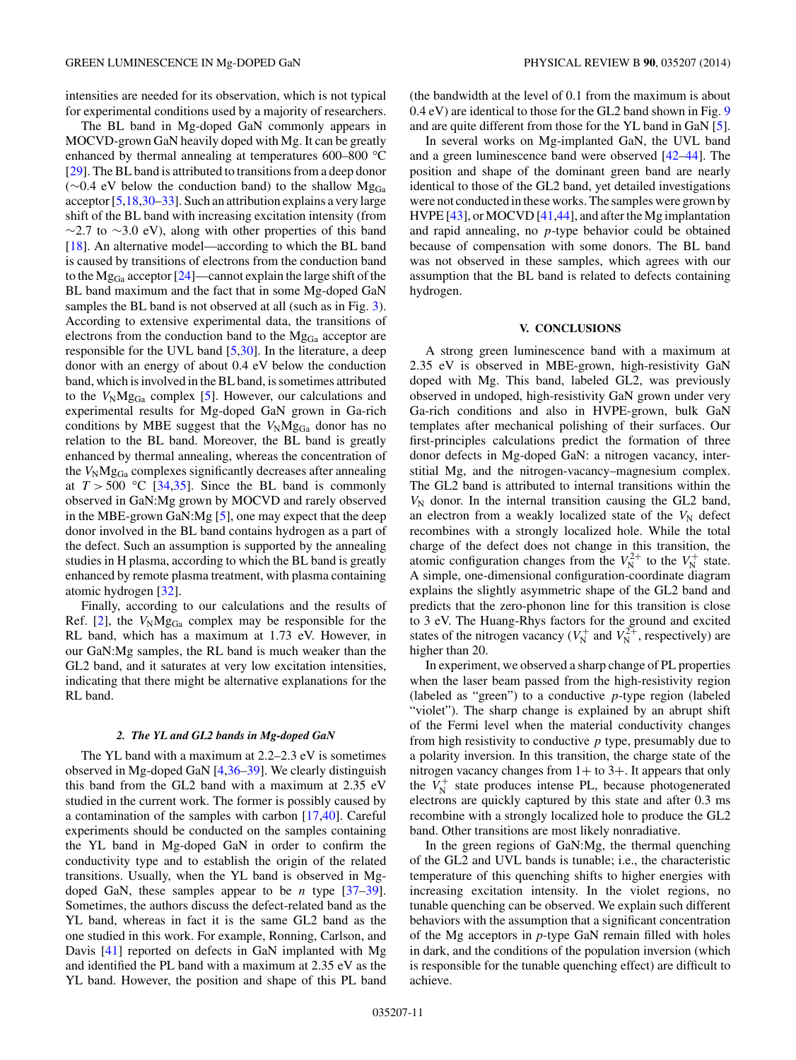intensities are needed for its observation, which is not typical for experimental conditions used by a majority of researchers.

The BL band in Mg-doped GaN commonly appears in MOCVD-grown GaN heavily doped with Mg. It can be greatly enhanced by thermal annealing at temperatures 600–800 °C [\[29\]](#page-13-0). The BL band is attributed to transitions from a deep donor ( $\sim$ 0.4 eV below the conduction band) to the shallow Mg<sub>Ga</sub> acceptor [\[5,18,30–33\]](#page-13-0). Such an attribution explains a very large shift of the BL band with increasing excitation intensity (from  $\sim$ 2.7 to  $\sim$ 3.0 eV), along with other properties of this band [\[18\]](#page-13-0). An alternative model—according to which the BL band is caused by transitions of electrons from the conduction band to the  $Mg_{Ga}$  acceptor [\[24\]](#page-13-0)—cannot explain the large shift of the BL band maximum and the fact that in some Mg-doped GaN samples the BL band is not observed at all (such as in Fig. [3\)](#page-3-0). According to extensive experimental data, the transitions of electrons from the conduction band to the  $Mg_{Ga}$  acceptor are responsible for the UVL band [\[5,30\]](#page-13-0). In the literature, a deep donor with an energy of about 0.4 eV below the conduction band, which is involved in the BL band, is sometimes attributed to the *V*<sub>N</sub>Mg<sub>Ga</sub> complex [\[5\]](#page-13-0). However, our calculations and experimental results for Mg-doped GaN grown in Ga-rich conditions by MBE suggest that the  $V_NMg_{Ga}$  donor has no relation to the BL band. Moreover, the BL band is greatly enhanced by thermal annealing, whereas the concentration of the *V*<sub>N</sub>Mg<sub>Ga</sub> complexes significantly decreases after annealing at  $T > 500$  °C [\[34,35\]](#page-13-0). Since the BL band is commonly observed in GaN:Mg grown by MOCVD and rarely observed in the MBE-grown GaN:Mg [\[5\]](#page-13-0), one may expect that the deep donor involved in the BL band contains hydrogen as a part of the defect. Such an assumption is supported by the annealing studies in H plasma, according to which the BL band is greatly enhanced by remote plasma treatment, with plasma containing atomic hydrogen [\[32\]](#page-13-0).

Finally, according to our calculations and the results of Ref.  $[2]$ , the  $V_N M g_{Ga}$  complex may be responsible for the RL band, which has a maximum at 1.73 eV. However, in our GaN:Mg samples, the RL band is much weaker than the GL2 band, and it saturates at very low excitation intensities, indicating that there might be alternative explanations for the RL band.

#### *2. The YL and GL2 bands in Mg-doped GaN*

The YL band with a maximum at 2.2–2.3 eV is sometimes observed in Mg-doped GaN [\[4,36–39\]](#page-13-0). We clearly distinguish this band from the GL2 band with a maximum at 2.35 eV studied in the current work. The former is possibly caused by a contamination of the samples with carbon [\[17,40\]](#page-13-0). Careful experiments should be conducted on the samples containing the YL band in Mg-doped GaN in order to confirm the conductivity type and to establish the origin of the related transitions. Usually, when the YL band is observed in Mgdoped GaN, these samples appear to be *n* type [\[37–39\]](#page-13-0). Sometimes, the authors discuss the defect-related band as the YL band, whereas in fact it is the same GL2 band as the one studied in this work. For example, Ronning, Carlson, and Davis [\[41\]](#page-13-0) reported on defects in GaN implanted with Mg and identified the PL band with a maximum at 2.35 eV as the YL band. However, the position and shape of this PL band (the bandwidth at the level of 0.1 from the maximum is about 0.4 eV) are identical to those for the GL2 band shown in Fig. [9](#page-5-0) and are quite different from those for the YL band in GaN [\[5\]](#page-13-0).

In several works on Mg-implanted GaN, the UVL band and a green luminescence band were observed [\[42–44\]](#page-13-0). The position and shape of the dominant green band are nearly identical to those of the GL2 band, yet detailed investigations were not conducted in these works. The samples were grown by HVPE [\[43\]](#page-13-0), or MOCVD [\[41,44\]](#page-13-0), and after the Mg implantation and rapid annealing, no *p*-type behavior could be obtained because of compensation with some donors. The BL band was not observed in these samples, which agrees with our assumption that the BL band is related to defects containing hydrogen.

### **V. CONCLUSIONS**

A strong green luminescence band with a maximum at 2.35 eV is observed in MBE-grown, high-resistivity GaN doped with Mg. This band, labeled GL2, was previously observed in undoped, high-resistivity GaN grown under very Ga-rich conditions and also in HVPE-grown, bulk GaN templates after mechanical polishing of their surfaces. Our first-principles calculations predict the formation of three donor defects in Mg-doped GaN: a nitrogen vacancy, interstitial Mg, and the nitrogen-vacancy–magnesium complex. The GL2 band is attributed to internal transitions within the  $V_N$  donor. In the internal transition causing the GL2 band, an electron from a weakly localized state of the  $V<sub>N</sub>$  defect recombines with a strongly localized hole. While the total charge of the defect does not change in this transition, the atomic configuration changes from the  $V_N^{2+}$  to the  $V_N^+$  state. A simple, one-dimensional configuration-coordinate diagram explains the slightly asymmetric shape of the GL2 band and predicts that the zero-phonon line for this transition is close to 3 eV. The Huang-Rhys factors for the ground and excited states of the nitrogen vacancy ( $V_N^+$  and  $V_N^{2+}$ , respectively) are higher than 20.

In experiment, we observed a sharp change of PL properties when the laser beam passed from the high-resistivity region (labeled as "green") to a conductive *p*-type region (labeled "violet"). The sharp change is explained by an abrupt shift of the Fermi level when the material conductivity changes from high resistivity to conductive *p* type, presumably due to a polarity inversion. In this transition, the charge state of the nitrogen vacancy changes from 1+ to 3+. It appears that only the  $V_N^+$  state produces intense PL, because photogenerated electrons are quickly captured by this state and after 0.3 ms recombine with a strongly localized hole to produce the GL2 band. Other transitions are most likely nonradiative.

In the green regions of GaN:Mg, the thermal quenching of the GL2 and UVL bands is tunable; i.e., the characteristic temperature of this quenching shifts to higher energies with increasing excitation intensity. In the violet regions, no tunable quenching can be observed. We explain such different behaviors with the assumption that a significant concentration of the Mg acceptors in *p*-type GaN remain filled with holes in dark, and the conditions of the population inversion (which is responsible for the tunable quenching effect) are difficult to achieve.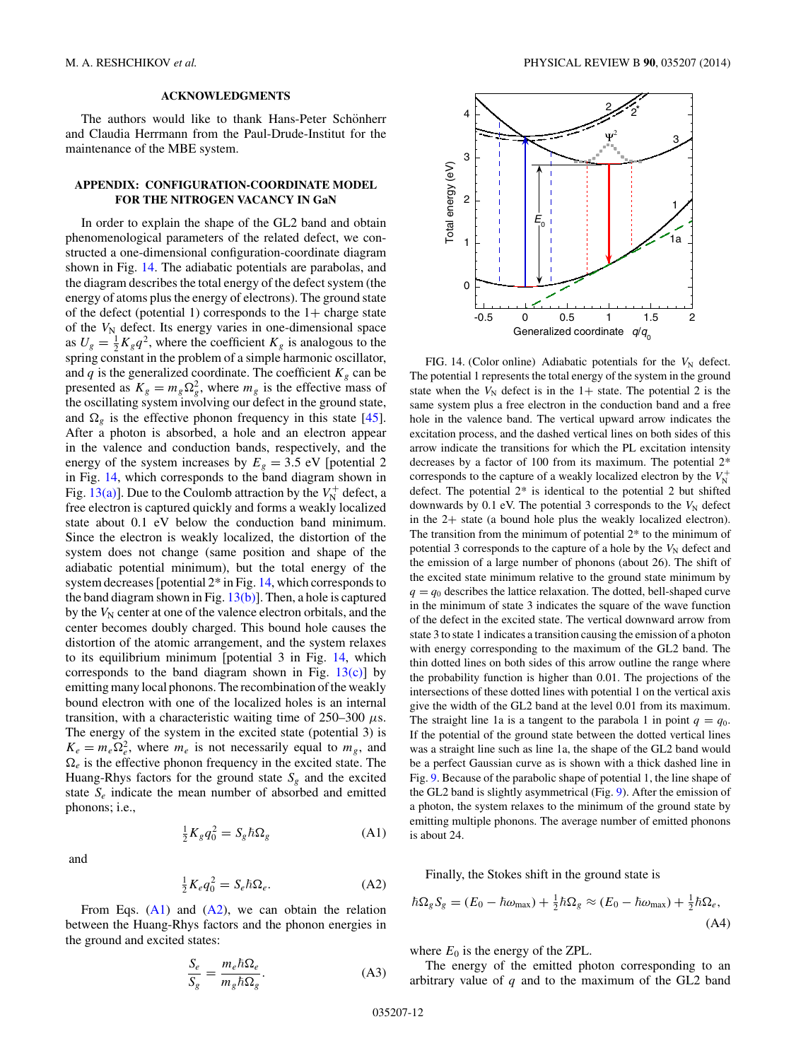## **ACKNOWLEDGMENTS**

<span id="page-11-0"></span>The authors would like to thank Hans-Peter Schönherr and Claudia Herrmann from the Paul-Drude-Institut for the maintenance of the MBE system.

# **APPENDIX: CONFIGURATION-COORDINATE MODEL FOR THE NITROGEN VACANCY IN GaN**

In order to explain the shape of the GL2 band and obtain phenomenological parameters of the related defect, we constructed a one-dimensional configuration-coordinate diagram shown in Fig. 14. The adiabatic potentials are parabolas, and the diagram describes the total energy of the defect system (the energy of atoms plus the energy of electrons). The ground state of the defect (potential 1) corresponds to the  $1+$  charge state of the  $V_N$  defect. Its energy varies in one-dimensional space as  $U_g = \frac{1}{2}K_gq^2$ , where the coefficient  $K_g$  is analogous to the spring constant in the problem of a simple harmonic oscillator, and  $q$  is the generalized coordinate. The coefficient  $K_g$  can be presented as  $K_g = m_g \Omega_g^2$ , where  $m_g$  is the effective mass of the oscillating system involving our defect in the ground state, and  $\Omega$ <sub>g</sub> is the effective phonon frequency in this state [\[45\]](#page-13-0). After a photon is absorbed, a hole and an electron appear in the valence and conduction bands, respectively, and the energy of the system increases by  $E<sub>g</sub> = 3.5$  eV [potential 2 in Fig. 14, which corresponds to the band diagram shown in Fig.  $13(a)$ ]. Due to the Coulomb attraction by the  $V_N^+$  defect, a free electron is captured quickly and forms a weakly localized state about 0.1 eV below the conduction band minimum. Since the electron is weakly localized, the distortion of the system does not change (same position and shape of the adiabatic potential minimum), but the total energy of the system decreases [potential 2\* in Fig. 14, which corresponds to the band diagram shown in Fig.  $13(b)$ ]. Then, a hole is captured by the  $V<sub>N</sub>$  center at one of the valence electron orbitals, and the center becomes doubly charged. This bound hole causes the distortion of the atomic arrangement, and the system relaxes to its equilibrium minimum [potential 3 in Fig. 14, which corresponds to the band diagram shown in Fig.  $13(c)$  by emitting many local phonons. The recombination of the weakly bound electron with one of the localized holes is an internal transition, with a characteristic waiting time of 250–300 *μ*s. The energy of the system in the excited state (potential 3) is  $K_e = m_e \Omega_e^2$ , where  $m_e$  is not necessarily equal to  $m_g$ , and  $\Omega_e$  is the effective phonon frequency in the excited state. The Huang-Rhys factors for the ground state  $S_g$  and the excited state *Se* indicate the mean number of absorbed and emitted phonons; i.e.,

and

$$
\frac{1}{2}K_e q_0^2 = S_e \hbar \Omega_e.
$$
 (A2)

From Eqs.  $(A1)$  and  $(A2)$ , we can obtain the relation between the Huang-Rhys factors and the phonon energies in the ground and excited states:

 $\frac{1}{2}K_{g}q_{0}^{2}=S_{g}\hbar$ 

$$
\frac{S_e}{S_g} = \frac{m_e \hbar \Omega_e}{m_g \hbar \Omega_g}.
$$
\n(A3)



FIG. 14. (Color online) Adiabatic potentials for the  $V_N$  defect. The potential 1 represents the total energy of the system in the ground state when the  $V_N$  defect is in the  $1+$  state. The potential 2 is the same system plus a free electron in the conduction band and a free hole in the valence band. The vertical upward arrow indicates the excitation process, and the dashed vertical lines on both sides of this arrow indicate the transitions for which the PL excitation intensity decreases by a factor of 100 from its maximum. The potential 2\* corresponds to the capture of a weakly localized electron by the  $V_N^+$ defect. The potential 2\* is identical to the potential 2 but shifted downwards by  $0.1$  eV. The potential 3 corresponds to the  $V_N$  defect in the 2+ state (a bound hole plus the weakly localized electron). The transition from the minimum of potential  $2*$  to the minimum of potential 3 corresponds to the capture of a hole by the  $V_N$  defect and the emission of a large number of phonons (about 26). The shift of the excited state minimum relative to the ground state minimum by  $q = q_0$  describes the lattice relaxation. The dotted, bell-shaped curve in the minimum of state 3 indicates the square of the wave function of the defect in the excited state. The vertical downward arrow from state 3 to state 1 indicates a transition causing the emission of a photon with energy corresponding to the maximum of the GL2 band. The thin dotted lines on both sides of this arrow outline the range where the probability function is higher than 0.01. The projections of the intersections of these dotted lines with potential 1 on the vertical axis give the width of the GL2 band at the level 0.01 from its maximum. The straight line 1a is a tangent to the parabola 1 in point  $q = q_0$ . If the potential of the ground state between the dotted vertical lines was a straight line such as line 1a, the shape of the GL2 band would be a perfect Gaussian curve as is shown with a thick dashed line in Fig. [9.](#page-5-0) Because of the parabolic shape of potential 1, the line shape of the GL2 band is slightly asymmetrical (Fig. [9\)](#page-5-0). After the emission of a photon, the system relaxes to the minimum of the ground state by emitting multiple phonons. The average number of emitted phonons is about 24.

Finally, the Stokes shift in the ground state is

$$
\hbar\Omega_g S_g = (E_0 - \hbar\omega_{\text{max}}) + \frac{1}{2}\hbar\Omega_g \approx (E_0 - \hbar\omega_{\text{max}}) + \frac{1}{2}\hbar\Omega_e,
$$
\n(A4)

where  $E_0$  is the energy of the ZPL.

The energy of the emitted photon corresponding to an arbitrary value of *q* and to the maximum of the GL2 band

*g* (A1)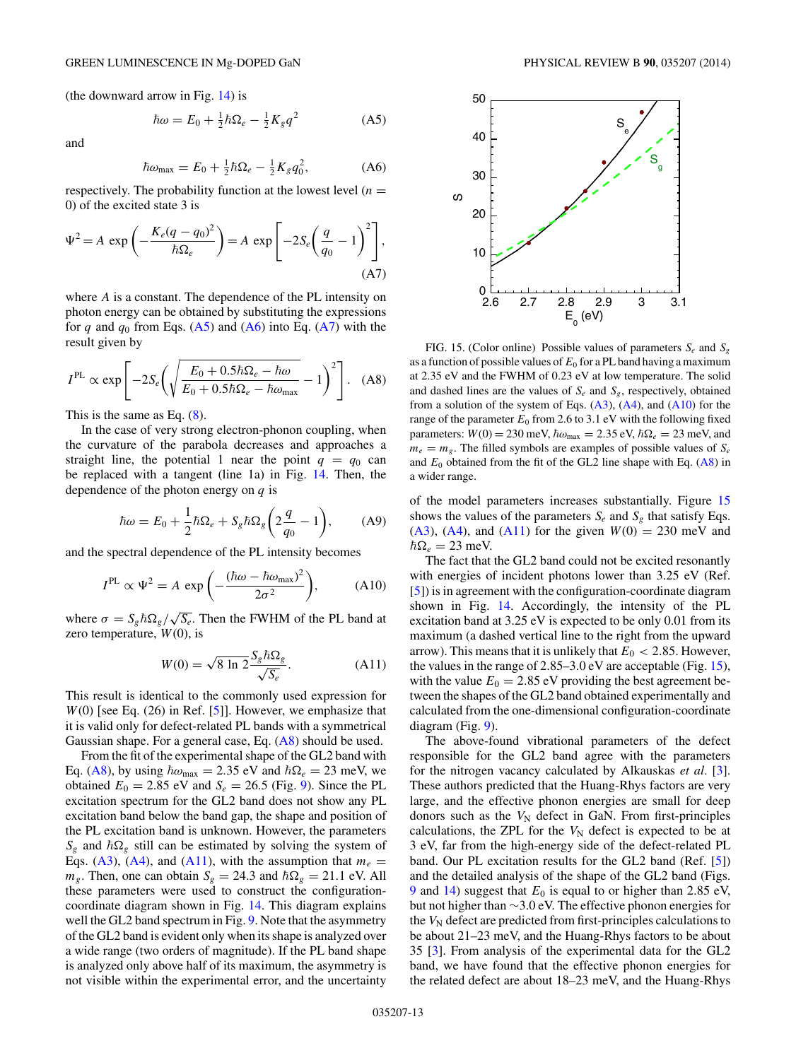<span id="page-12-0"></span>(the downward arrow in Fig. [14\)](#page-11-0) is

$$
\hbar\omega = E_0 + \frac{1}{2}\hbar\Omega_e - \frac{1}{2}K_g q^2 \tag{A5}
$$

and

$$
\hbar\omega_{\text{max}} = E_0 + \frac{1}{2}\hbar\Omega_e - \frac{1}{2}K_g q_0^2, \tag{A6}
$$

respectively. The probability function at the lowest level  $(n =$ 0) of the excited state 3 is

$$
\Psi^2 = A \, \exp\left(-\frac{K_e(q - q_0)^2}{\hbar \Omega_e}\right) = A \, \exp\left[-2S_e\left(\frac{q}{q_0} - 1\right)^2\right],\tag{A7}
$$

where *A* is a constant. The dependence of the PL intensity on photon energy can be obtained by substituting the expressions for  $q$  and  $q_0$  from Eqs. (A5) and (A6) into Eq. (A7) with the result given by

$$
I^{\text{PL}} \propto \exp\left[-2S_e \left(\sqrt{\frac{E_0 + 0.5\hbar\Omega_e - \hbar\omega}{E_0 + 0.5\hbar\Omega_e - \hbar\omega_{\text{max}}}} - 1\right)^2\right].
$$
 (A8)

This is the same as Eq. [\(8\)](#page-5-0).

In the case of very strong electron-phonon coupling, when the curvature of the parabola decreases and approaches a straight line, the potential 1 near the point  $q = q_0$  can be replaced with a tangent (line 1a) in Fig. [14.](#page-11-0) Then, the dependence of the photon energy on *q* is

$$
\hbar\omega = E_0 + \frac{1}{2}\hbar\Omega_e + S_g\hbar\Omega_g\bigg(2\frac{q}{q_0} - 1\bigg),\qquad\text{(A9)}
$$

and the spectral dependence of the PL intensity becomes

$$
I^{PL} \propto \Psi^2 = A \exp\left(-\frac{(\hbar\omega - \hbar\omega_{\text{max}})^2}{2\sigma^2}\right),\tag{A10}
$$

where  $\sigma = S_g \hbar \Omega_g / \sqrt{S_e}$ . Then the FWHM of the PL band at zero temperature, *W*(0), is

$$
W(0) = \sqrt{8 \ln 2} \frac{S_g \hbar \Omega_g}{\sqrt{S_e}}.
$$
 (A11)

This result is identical to the commonly used expression for *W*(0) [see Eq. (26) in Ref. [\[5\]](#page-13-0)]. However, we emphasize that it is valid only for defect-related PL bands with a symmetrical Gaussian shape. For a general case, Eq. (A8) should be used.

From the fit of the experimental shape of the GL2 band with Eq. (A8), by using  $\hbar \omega_{\text{max}} = 2.35 \text{ eV}$  and  $\hbar \Omega_e = 23 \text{ meV}$ , we obtained  $E_0 = 2.85$  eV and  $S_e = 26.5$  (Fig. [9\)](#page-5-0). Since the PL excitation spectrum for the GL2 band does not show any PL excitation band below the band gap, the shape and position of the PL excitation band is unknown. However, the parameters  $S_g$  and  $\hbar\Omega_g$  still can be estimated by solving the system of Eqs. [\(A3\)](#page-11-0), [\(A4\)](#page-11-0), and (A11), with the assumption that  $m_e =$  $m_g$ . Then, one can obtain  $S_g = 24.3$  and  $\hbar\Omega_g = 21.1$  eV. All these parameters were used to construct the configurationcoordinate diagram shown in Fig. [14.](#page-11-0) This diagram explains well the GL2 band spectrum in Fig. [9.](#page-5-0) Note that the asymmetry of the GL2 band is evident only when its shape is analyzed over a wide range (two orders of magnitude). If the PL band shape is analyzed only above half of its maximum, the asymmetry is not visible within the experimental error, and the uncertainty



FIG. 15. (Color online) Possible values of parameters  $S_e$  and  $S_g$ as a function of possible values of  $E_0$  for a PL band having a maximum at 2.35 eV and the FWHM of 0.23 eV at low temperature. The solid and dashed lines are the values of  $S_e$  and  $S_g$ , respectively, obtained from a solution of the system of Eqs.  $(A3)$ ,  $(A4)$ , and  $(A10)$  for the range of the parameter  $E_0$  from 2.6 to 3.1 eV with the following fixed parameters:  $W(0) = 230$  meV,  $\hbar \omega_{\text{max}} = 2.35$  eV,  $\hbar \Omega_e = 23$  meV, and  $m_e = m_g$ . The filled symbols are examples of possible values of  $S_e$ and  $E_0$  obtained from the fit of the GL2 line shape with Eq.  $(A8)$  in a wider range.

of the model parameters increases substantially. Figure 15 shows the values of the parameters  $S_e$  and  $S_g$  that satisfy Eqs. [\(A3\)](#page-11-0), [\(A4\)](#page-11-0), and (A11) for the given  $W(0) = 230$  meV and  $\hbar\Omega_e = 23$  meV.

The fact that the GL2 band could not be excited resonantly with energies of incident photons lower than 3.25 eV (Ref. [\[5\]](#page-13-0)) is in agreement with the configuration-coordinate diagram shown in Fig. [14.](#page-11-0) Accordingly, the intensity of the PL excitation band at 3.25 eV is expected to be only 0.01 from its maximum (a dashed vertical line to the right from the upward arrow). This means that it is unlikely that  $E_0 < 2.85$ . However, the values in the range of  $2.85-3.0$  eV are acceptable (Fig. 15), with the value  $E_0 = 2.85$  eV providing the best agreement between the shapes of the GL2 band obtained experimentally and calculated from the one-dimensional configuration-coordinate diagram (Fig. [9\)](#page-5-0).

The above-found vibrational parameters of the defect responsible for the GL2 band agree with the parameters for the nitrogen vacancy calculated by Alkauskas *et al*. [\[3\]](#page-13-0). These authors predicted that the Huang-Rhys factors are very large, and the effective phonon energies are small for deep donors such as the  $V_N$  defect in GaN. From first-principles calculations, the ZPL for the  $V_N$  defect is expected to be at 3 eV, far from the high-energy side of the defect-related PL band. Our PL excitation results for the GL2 band (Ref. [\[5\]](#page-13-0)) and the detailed analysis of the shape of the GL2 band (Figs. [9](#page-5-0) and  $14$ ) suggest that  $E_0$  is equal to or higher than 2.85 eV, but not higher than ∼3.0 eV. The effective phonon energies for the  $V_N$  defect are predicted from first-principles calculations to be about 21–23 meV, and the Huang-Rhys factors to be about 35 [\[3\]](#page-13-0). From analysis of the experimental data for the GL2 band, we have found that the effective phonon energies for the related defect are about 18–23 meV, and the Huang-Rhys